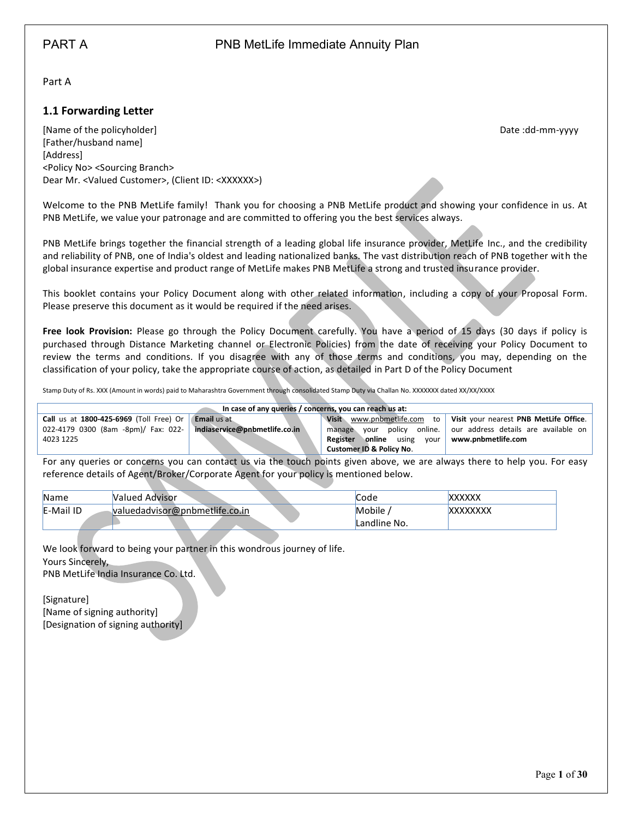<span id="page-0-0"></span>Part A

## <span id="page-0-1"></span>**1.1 Forwarding Letter**

[Name of the policyholder] Date :dd-mm-yyyy [Father/husband name] [Address] <Policy No> <Sourcing Branch> Dear Mr. <Valued Customer>, (Client ID: <XXXXXX>)

Welcome to the PNB MetLife family! Thank you for choosing a PNB MetLife product and showing your confidence in us. At PNB MetLife, we value your patronage and are committed to offering you the best services always.

PNB MetLife brings together the financial strength of a leading global life insurance provider, MetLife Inc., and the credibility and reliability of PNB, one of India's oldest and leading nationalized banks. The vast distribution reach of PNB together with the global insurance expertise and product range of MetLife makes PNB MetLife a strong and trusted insurance provider.

This booklet contains your Policy Document along with other related information, including a copy of your Proposal Form. Please preserve this document as it would be required if the need arises.

**Free look Provision:** Please go through the Policy Document carefully. You have a period of 15 days (30 days if policy is purchased through Distance Marketing channel or Electronic Policies) from the date of receiving your Policy Document to review the terms and conditions. If you disagree with any of those terms and conditions, you may, depending on the classification of your policy, take the appropriate course of action, as detailed in Part D of the Policy Document

Stamp Duty of Rs. XXX (Amount in words) paid to Maharashtra Government through consolidated Stamp Duty via Challan No. XXXXXXX dated XX/XX/XXXX

| In case of any queries / concerns, you can reach us at: |                               |                                           |                                                                      |  |
|---------------------------------------------------------|-------------------------------|-------------------------------------------|----------------------------------------------------------------------|--|
| Call us at $1800-425-6969$ (Toll Free) Or Email us at   |                               |                                           | Visit www.pnbmetlife.com to   Visit your nearest PNB MetLife Office. |  |
| 022-4179 0300 (8am -8pm)/ Fax: 022-                     | indiaservice@pnbmetlife.co.in | manage                                    | your policy online.   our address details are available on           |  |
| 4023 1225                                               |                               | <b>online</b> using<br>vour l<br>Register | www.pnbmetlife.com                                                   |  |
|                                                         |                               | <b>Customer ID &amp; Policy No.</b>       |                                                                      |  |

For any queries or concerns you can contact us via the touch points given above, we are always there to help you. For easy reference details of Agent/Broker/Corporate Agent for your policy is mentioned below.

| <b>Name</b> | <b>Nalued Advisor</b>          | Code         | XXXXXX          |
|-------------|--------------------------------|--------------|-----------------|
| E-Mail ID   | valuedadvisor@pnbmetlife.co.in | Mobile       | <b>XXXXXXXX</b> |
|             |                                | Landline No. |                 |

We look forward to being your partner in this wondrous journey of life. Yours Sincerely,

PNB MetLife India Insurance Co. Ltd.

[Signature] [Name of signing authority] [Designation of signing authority]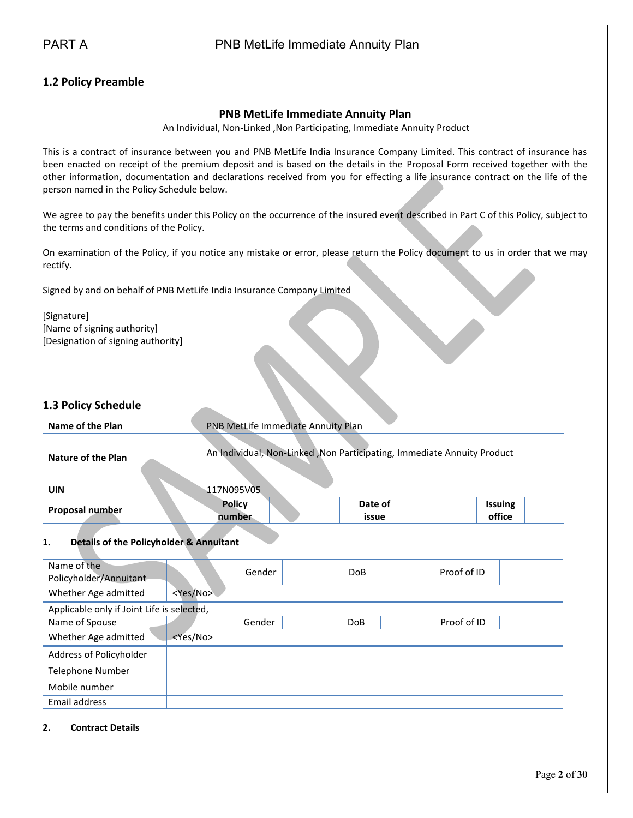# PART A **PART A** PNB MetLife Immediate Annuity Plan

# <span id="page-1-0"></span>**1.2 Policy Preamble**

### **PNB MetLife Immediate Annuity Plan**

An Individual, Non-Linked ,Non Participating, Immediate Annuity Product

This is a contract of insurance between you and PNB MetLife India Insurance Company Limited. This contract of insurance has been enacted on receipt of the premium deposit and is based on the details in the Proposal Form received together with the other information, documentation and declarations received from you for effecting a life insurance contract on the life of the person named in the Policy Schedule below.

We agree to pay the benefits under this Policy on the occurrence of the insured event described in Part C of this Policy, subject to the terms and conditions of the Policy.

On examination of the Policy, if you notice any mistake or error, please return the Policy document to us in order that we may rectify.

Signed by and on behalf of PNB MetLife India Insurance Company Limited

[Signature] [Name of signing authority] [Designation of signing authority]

### <span id="page-1-1"></span>**1.3 Policy Schedule**

| Name of the Plan   | PNB MetLife Immediate Annuity Plan                                      |  |  |
|--------------------|-------------------------------------------------------------------------|--|--|
| Nature of the Plan | An Individual, Non-Linked, Non Participating, Immediate Annuity Product |  |  |
| <b>UIN</b>         | 117N095V05                                                              |  |  |
| Proposal number    | <b>Policy</b><br>Date of<br><b>Issuing</b><br>office<br>number<br>issue |  |  |

#### **1. Details of the Policyholder & Annuitant**

| Name of the<br>Policyholder/Annuitant      |                   | Gender | <b>DoB</b> | Proof of ID |
|--------------------------------------------|-------------------|--------|------------|-------------|
| Whether Age admitted                       | <yes no=""></yes> |        |            |             |
| Applicable only if Joint Life is selected, |                   |        |            |             |
| Name of Spouse                             |                   | Gender | <b>DoB</b> | Proof of ID |
| Whether Age admitted                       | <yes no=""></yes> |        |            |             |
| Address of Policyholder                    |                   |        |            |             |
| <b>Telephone Number</b>                    |                   |        |            |             |
| Mobile number                              |                   |        |            |             |
| Email address                              |                   |        |            |             |

#### **2. Contract Details**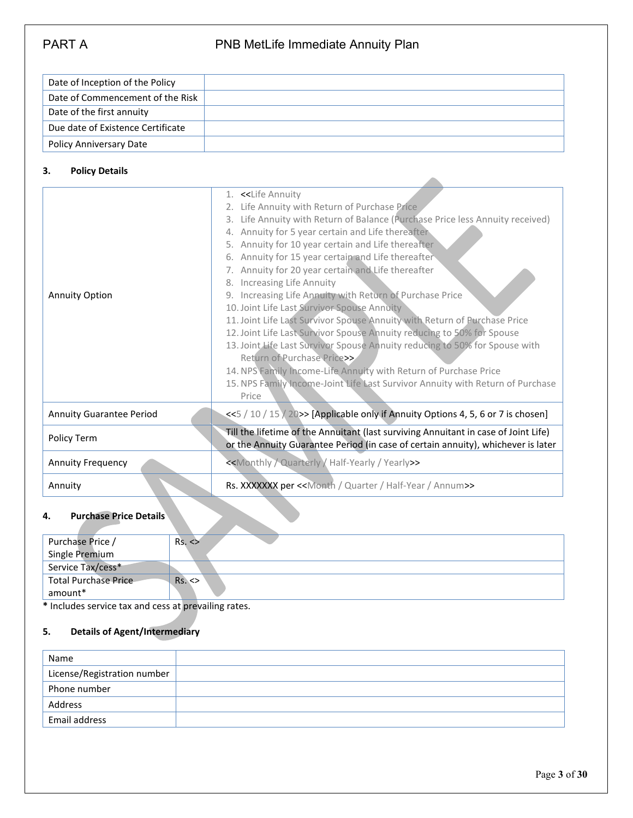| Date of Inception of the Policy   |  |
|-----------------------------------|--|
| Date of Commencement of the Risk  |  |
| Date of the first annuity         |  |
| Due date of Existence Certificate |  |
| <b>Policy Anniversary Date</b>    |  |

## **3. Policy Details**

| <b>Annuity Option</b>           | 1. << Life Annuity<br>Life Annuity with Return of Purchase Price<br>2.<br>3. Life Annuity with Return of Balance (Purchase Price less Annuity received)<br>4. Annuity for 5 year certain and Life thereafter<br>5. Annuity for 10 year certain and Life thereafter<br>6. Annuity for 15 year certain and Life thereafter<br>7. Annuity for 20 year certain and Life thereafter<br>8. Increasing Life Annuity<br>9. Increasing Life Annuity with Return of Purchase Price<br>10. Joint Life Last Survivor Spouse Annuity<br>11. Joint Life Last Survivor Spouse Annuity with Return of Purchase Price<br>12. Joint Life Last Survivor Spouse Annuity reducing to 50% for Spouse<br>13. Joint Life Last Survivor Spouse Annuity reducing to 50% for Spouse with<br>Return of Purchase Price>><br>14. NPS Family Income-Life Annuity with Return of Purchase Price<br>15. NPS Family Income-Joint Life Last Survivor Annuity with Return of Purchase<br>Price |
|---------------------------------|------------------------------------------------------------------------------------------------------------------------------------------------------------------------------------------------------------------------------------------------------------------------------------------------------------------------------------------------------------------------------------------------------------------------------------------------------------------------------------------------------------------------------------------------------------------------------------------------------------------------------------------------------------------------------------------------------------------------------------------------------------------------------------------------------------------------------------------------------------------------------------------------------------------------------------------------------------|
| <b>Annuity Guarantee Period</b> | <<5 / 10 / 15 / 20>> [Applicable only if Annuity Options 4, 5, 6 or 7 is chosen]                                                                                                                                                                                                                                                                                                                                                                                                                                                                                                                                                                                                                                                                                                                                                                                                                                                                           |
| Policy Term                     | Till the lifetime of the Annuitant (last surviving Annuitant in case of Joint Life)<br>or the Annuity Guarantee Period (in case of certain annuity), whichever is later                                                                                                                                                                                                                                                                                                                                                                                                                                                                                                                                                                                                                                                                                                                                                                                    |
| <b>Annuity Frequency</b>        | < <monthly half-yearly="" quarterly="" yearly="">&gt;</monthly>                                                                                                                                                                                                                                                                                                                                                                                                                                                                                                                                                                                                                                                                                                                                                                                                                                                                                            |
| Annuity                         | Rs. XXXXXXX per < <month annum="" half-year="" quarter="">&gt;</month>                                                                                                                                                                                                                                                                                                                                                                                                                                                                                                                                                                                                                                                                                                                                                                                                                                                                                     |

## **4. Purchase Price Details**

| Purchase Price /     | Rs. < |
|----------------------|-------|
| Single Premium       |       |
| Service Tax/cess*    |       |
| Total Purchase Price | Rs. < |
| amount*              |       |

**\*** Includes service tax and cess at prevailing rates.

### **5. Details of Agent/Intermediary**

| Name                        |  |
|-----------------------------|--|
| License/Registration number |  |
| Phone number                |  |
| Address                     |  |
| Email address               |  |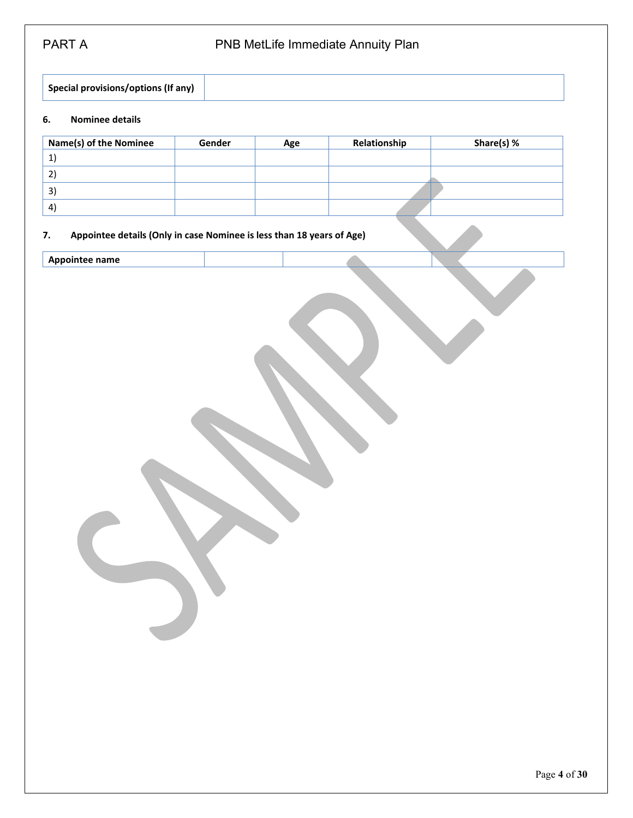**Special provisions/options (If any)**

### **6. Nominee details**

| <b>Name(s) of the Nominee</b> | Gender | Age | Relationship | Share(s) % |
|-------------------------------|--------|-----|--------------|------------|
|                               |        |     |              |            |
|                               |        |     |              |            |
| 3)                            |        |     |              |            |
| $\vert$                       |        |     |              |            |

#### **7. Appointee details (Only in case Nominee is less than 18 years of Age)**

**Appointee name**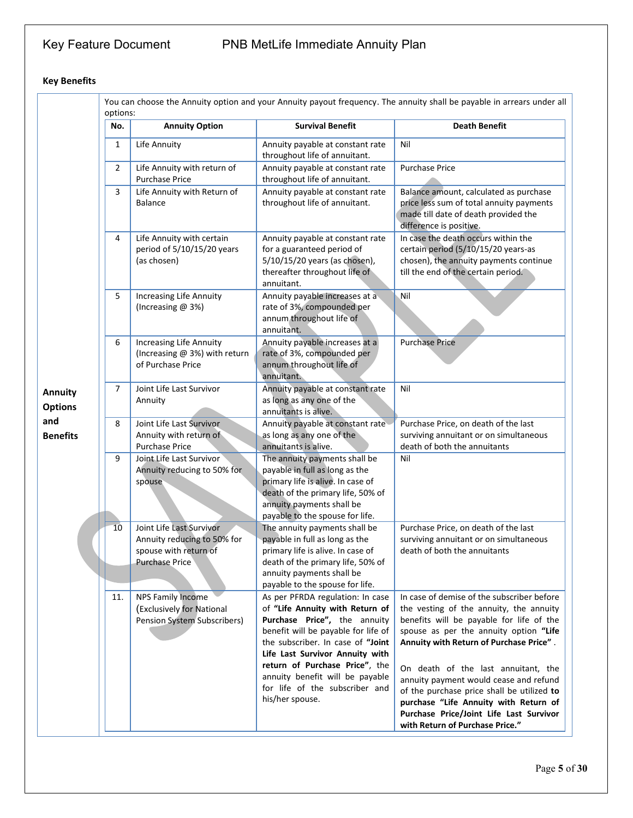# Key Feature Document PNB MetLife Immediate Annuity Plan

# **Key Benefits**

|                                  | options: |                                                                                                           |                                                                                                                                                                                                                                                                                                                                              | You can choose the Annuity option and your Annuity payout frequency. The annuity shall be payable in arrears under all                                                                                                                                                                                                                                                                                                                                                       |
|----------------------------------|----------|-----------------------------------------------------------------------------------------------------------|----------------------------------------------------------------------------------------------------------------------------------------------------------------------------------------------------------------------------------------------------------------------------------------------------------------------------------------------|------------------------------------------------------------------------------------------------------------------------------------------------------------------------------------------------------------------------------------------------------------------------------------------------------------------------------------------------------------------------------------------------------------------------------------------------------------------------------|
|                                  | No.      | <b>Annuity Option</b>                                                                                     | <b>Survival Benefit</b>                                                                                                                                                                                                                                                                                                                      | <b>Death Benefit</b>                                                                                                                                                                                                                                                                                                                                                                                                                                                         |
|                                  | 1        | Life Annuity                                                                                              | Annuity payable at constant rate<br>throughout life of annuitant.                                                                                                                                                                                                                                                                            | Nil                                                                                                                                                                                                                                                                                                                                                                                                                                                                          |
|                                  | 2        | Life Annuity with return of<br><b>Purchase Price</b>                                                      | Annuity payable at constant rate<br>throughout life of annuitant.                                                                                                                                                                                                                                                                            | <b>Purchase Price</b>                                                                                                                                                                                                                                                                                                                                                                                                                                                        |
|                                  | 3        | Life Annuity with Return of<br><b>Balance</b>                                                             | Annuity payable at constant rate<br>throughout life of annuitant.                                                                                                                                                                                                                                                                            | Balance amount, calculated as purchase<br>price less sum of total annuity payments<br>made till date of death provided the<br>difference is positive.                                                                                                                                                                                                                                                                                                                        |
|                                  | 4        | Life Annuity with certain<br>period of 5/10/15/20 years<br>(as chosen)                                    | Annuity payable at constant rate<br>for a guaranteed period of<br>5/10/15/20 years (as chosen),<br>thereafter throughout life of<br>annuitant.                                                                                                                                                                                               | In case the death occurs within the<br>certain period (5/10/15/20 years-as<br>chosen), the annuity payments continue<br>till the end of the certain period.                                                                                                                                                                                                                                                                                                                  |
|                                  | 5        | <b>Increasing Life Annuity</b><br>(Increasing @ 3%)                                                       | Annuity payable increases at a<br>rate of 3%, compounded per<br>annum throughout life of<br>annuitant.                                                                                                                                                                                                                                       | Nil                                                                                                                                                                                                                                                                                                                                                                                                                                                                          |
|                                  | 6        | <b>Increasing Life Annuity</b><br>(Increasing @ 3%) with return<br>of Purchase Price                      | Annuity payable increases at a<br>rate of 3%, compounded per<br>annum throughout life of<br>annuitant.                                                                                                                                                                                                                                       | <b>Purchase Price</b>                                                                                                                                                                                                                                                                                                                                                                                                                                                        |
| <b>Annuity</b><br><b>Options</b> | 7        | Joint Life Last Survivor<br>Annuity                                                                       | Annuity payable at constant rate<br>as long as any one of the<br>annuitants is alive.                                                                                                                                                                                                                                                        | Nil                                                                                                                                                                                                                                                                                                                                                                                                                                                                          |
| and<br><b>Benefits</b>           | 8        | Joint Life Last Survivor<br>Annuity with return of<br><b>Purchase Price</b>                               | Annuity payable at constant rate<br>as long as any one of the<br>annuitants is alive.                                                                                                                                                                                                                                                        | Purchase Price, on death of the last<br>surviving annuitant or on simultaneous<br>death of both the annuitants                                                                                                                                                                                                                                                                                                                                                               |
|                                  | 9        | Joint Life Last Survivor<br>Annuity reducing to 50% for<br>spouse                                         | The annuity payments shall be<br>payable in full as long as the<br>primary life is alive. In case of<br>death of the primary life, 50% of<br>annuity payments shall be<br>payable to the spouse for life.                                                                                                                                    | Nil                                                                                                                                                                                                                                                                                                                                                                                                                                                                          |
|                                  | 10       | Joint Life Last Survivor<br>Annuity reducing to 50% for<br>spouse with return of<br><b>Purchase Price</b> | The annuity payments shall be<br>payable in full as long as the<br>primary life is alive. In case of<br>death of the primary life, 50% of<br>annuity payments shall be<br>payable to the spouse for life.                                                                                                                                    | Purchase Price, on death of the last<br>surviving annuitant or on simultaneous<br>death of both the annuitants                                                                                                                                                                                                                                                                                                                                                               |
|                                  | 11.      | <b>NPS Family Income</b><br>(Exclusively for National<br>Pension System Subscribers)                      | As per PFRDA regulation: In case<br>of "Life Annuity with Return of<br>Purchase Price", the annuity<br>benefit will be payable for life of<br>the subscriber. In case of "Joint<br>Life Last Survivor Annuity with<br>return of Purchase Price", the<br>annuity benefit will be payable<br>for life of the subscriber and<br>his/her spouse. | In case of demise of the subscriber before<br>the vesting of the annuity, the annuity<br>benefits will be payable for life of the<br>spouse as per the annuity option "Life<br>Annuity with Return of Purchase Price".<br>On death of the last annuitant, the<br>annuity payment would cease and refund<br>of the purchase price shall be utilized to<br>purchase "Life Annuity with Return of<br>Purchase Price/Joint Life Last Survivor<br>with Return of Purchase Price." |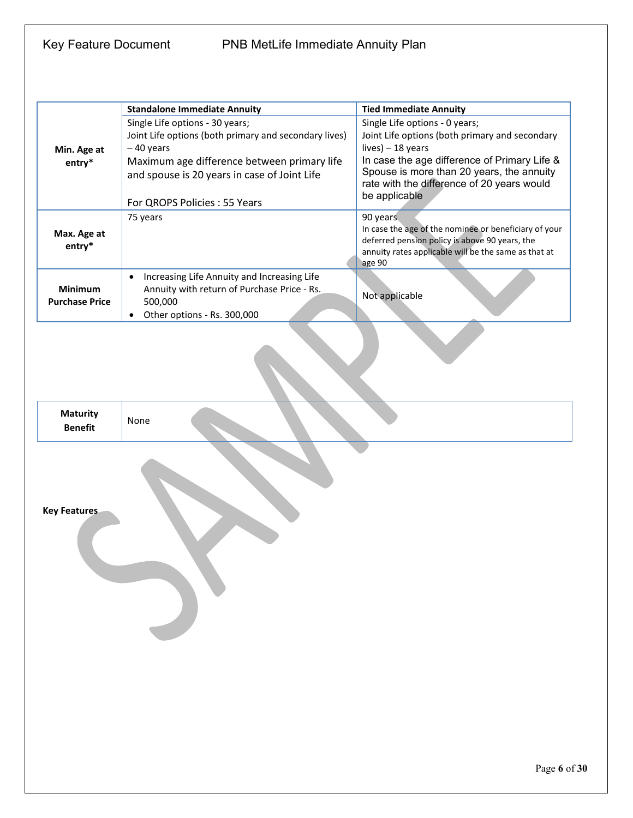|                                   | <b>Standalone Immediate Annuity</b>                      | <b>Tied Immediate Annuity</b>                                                                           |
|-----------------------------------|----------------------------------------------------------|---------------------------------------------------------------------------------------------------------|
|                                   | Single Life options - 30 years;                          | Single Life options - 0 years;                                                                          |
|                                   | Joint Life options (both primary and secondary lives)    | Joint Life options (both primary and secondary                                                          |
| Min. Age at                       | -40 years                                                | $lives$ ) - 18 years                                                                                    |
| entry*                            | Maximum age difference between primary life              | In case the age difference of Primary Life &                                                            |
|                                   | and spouse is 20 years in case of Joint Life             | Spouse is more than 20 years, the annuity                                                               |
|                                   |                                                          | rate with the difference of 20 years would                                                              |
|                                   | For QROPS Policies : 55 Years                            | be applicable                                                                                           |
|                                   | 75 years                                                 | 90 years                                                                                                |
| Max. Age at                       |                                                          | In case the age of the nominee or beneficiary of your<br>deferred pension policy is above 90 years, the |
| entry*                            |                                                          | annuity rates applicable will be the same as that at                                                    |
|                                   |                                                          | age 90                                                                                                  |
|                                   | Increasing Life Annuity and Increasing Life<br>$\bullet$ |                                                                                                         |
| Minimum                           | Annuity with return of Purchase Price - Rs.              | Not applicable                                                                                          |
| <b>Purchase Price</b>             | 500,000                                                  |                                                                                                         |
|                                   | Other options - Rs. 300,000<br>$\bullet$                 |                                                                                                         |
|                                   |                                                          |                                                                                                         |
| <b>Maturity</b><br><b>Benefit</b> | None                                                     |                                                                                                         |
| <b>Key Features</b>               |                                                          |                                                                                                         |
|                                   |                                                          | Page 6 of 30                                                                                            |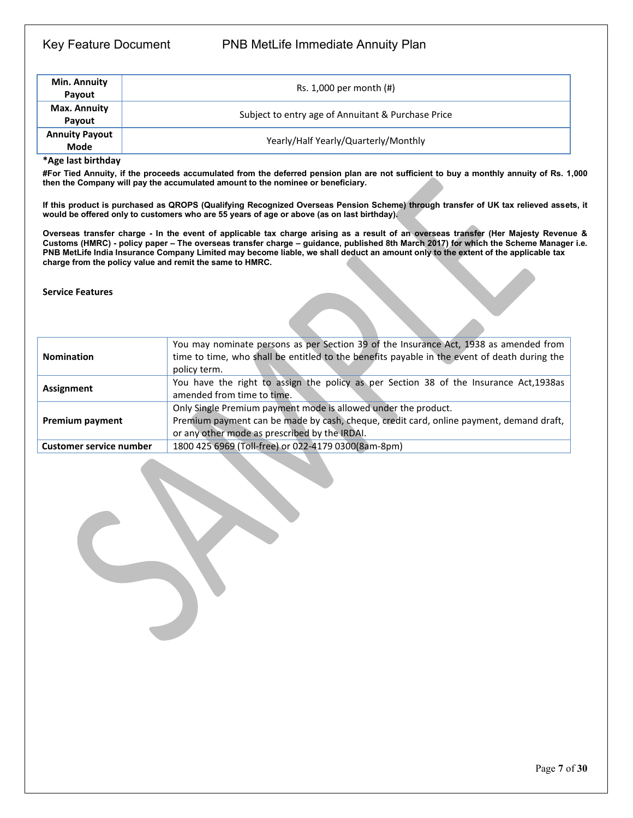## Key Feature Document PNB MetLife Immediate Annuity Plan

| Min. Annuity<br>Payout               | Rs. $1,000$ per month $(H)$                        |
|--------------------------------------|----------------------------------------------------|
| Max. Annuity<br>Pavout               | Subject to entry age of Annuitant & Purchase Price |
| <b>Annuity Payout</b><br><b>Mode</b> | Yearly/Half Yearly/Quarterly/Monthly               |

**\*Age last birthday**

**#For Tied Annuity, if the proceeds accumulated from the deferred pension plan are not sufficient to buy a monthly annuity of Rs. 1,000 then the Company will pay the accumulated amount to the nominee or beneficiary.** 

**If this product is purchased as QROPS (Qualifying Recognized Overseas Pension Scheme) through transfer of UK tax relieved assets, it would be offered only to customers who are 55 years of age or above (as on last birthday).**

**Overseas transfer charge - In the event of applicable tax charge arising as a result of an overseas transfer (Her Majesty Revenue & Customs (HMRC) - policy paper – The overseas transfer charge – guidance, published 8th March 2017) for which the Scheme Manager i.e. PNB MetLife India Insurance Company Limited may become liable, we shall deduct an amount only to the extent of the applicable tax charge from the policy value and remit the same to HMRC.**

#### **Service Features**

| You may nominate persons as per Section 39 of the Insurance Act, 1938 as amended from<br>time to time, who shall be entitled to the benefits payable in the event of death during the<br><b>Nomination</b><br>policy term.           |                                                     |  |
|--------------------------------------------------------------------------------------------------------------------------------------------------------------------------------------------------------------------------------------|-----------------------------------------------------|--|
| You have the right to assign the policy as per Section 38 of the Insurance Act, 1938as<br>Assignment<br>amended from time to time.                                                                                                   |                                                     |  |
| Only Single Premium payment mode is allowed under the product.<br>Premium payment can be made by cash, cheque, credit card, online payment, demand draft,<br><b>Premium payment</b><br>or any other mode as prescribed by the IRDAI. |                                                     |  |
| <b>Customer service number</b>                                                                                                                                                                                                       | 1800 425 6969 (Toll-free) or 022-4179 0300(8am-8pm) |  |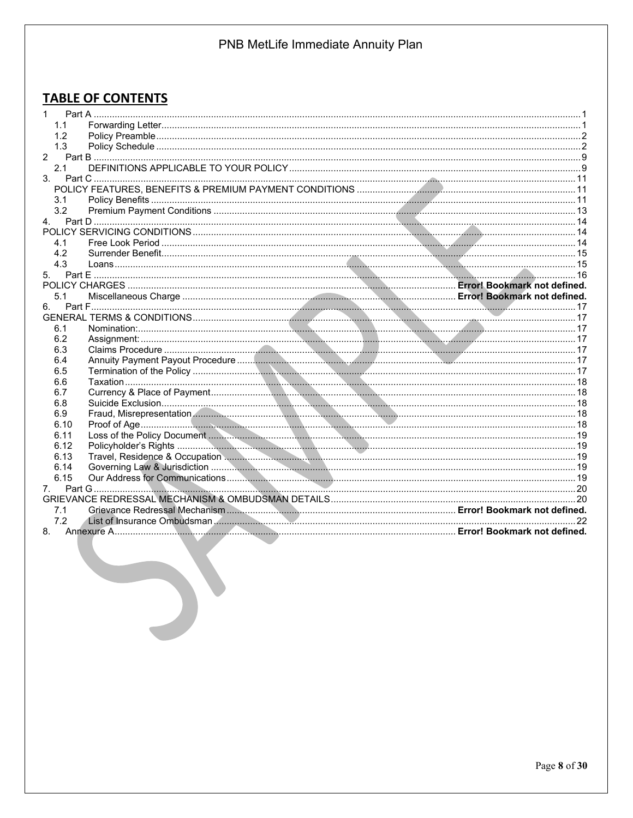# **TABLE OF CONTENTS**

| 1.1            |  |
|----------------|--|
| 1.2            |  |
| 1.3            |  |
| $\mathcal{P}$  |  |
| 2.1            |  |
| 3 <sub>1</sub> |  |
|                |  |
| 3.1            |  |
| 3.2            |  |
| 4.             |  |
|                |  |
| 4.1            |  |
| 4.2            |  |
| 4.3            |  |
|                |  |
|                |  |
| 5.1            |  |
| 6.             |  |
|                |  |
| 6.1            |  |
| 6.2            |  |
| 6.3            |  |
| 6.4            |  |
| 6.5            |  |
| 6.6            |  |
| 6.7            |  |
| 6.8            |  |
| 6.9            |  |
| 6.10           |  |
| 6.11           |  |
| 6.12           |  |
| 6.13           |  |
| 6.14           |  |
| 6.15           |  |
| 7.             |  |
|                |  |
| 7.1            |  |
| 7.2            |  |
|                |  |
|                |  |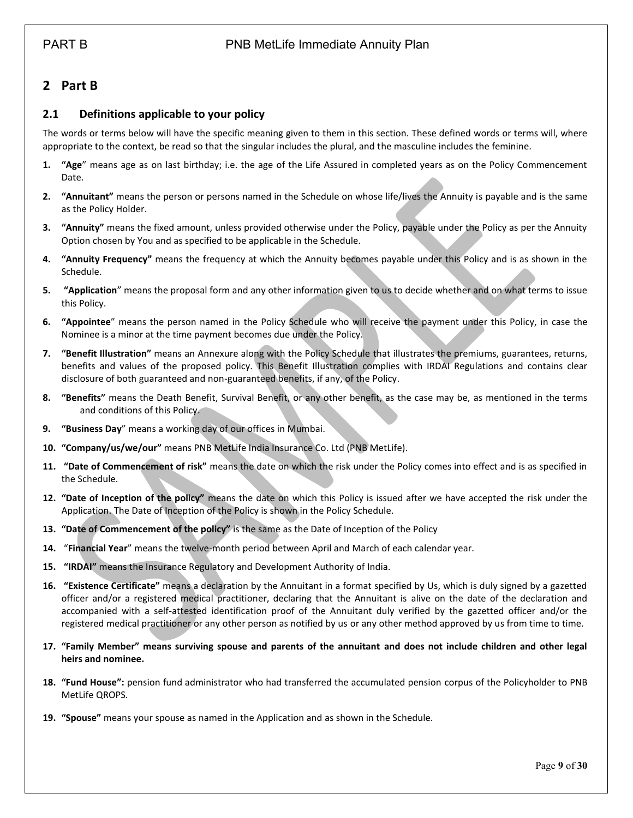# <span id="page-8-0"></span>**2 Part B**

### <span id="page-8-1"></span>**2.1 Definitions applicable to your policy**

The words or terms below will have the specific meaning given to them in this section. These defined words or terms will, where appropriate to the context, be read so that the singular includes the plural, and the masculine includes the feminine.

- **1. "Age**" means age as on last birthday; i.e. the age of the Life Assured in completed years as on the Policy Commencement Date.
- **2. "Annuitant"** means the person or persons named in the Schedule on whose life/lives the Annuity is payable and is the same as the Policy Holder.
- **3. "Annuity"** means the fixed amount, unless provided otherwise under the Policy, payable under the Policy as per the Annuity Option chosen by You and as specified to be applicable in the Schedule.
- **4. "Annuity Frequency"** means the frequency at which the Annuity becomes payable under this Policy and is as shown in the Schedule.
- **5. "Application**" means the proposal form and any other information given to us to decide whether and on what terms to issue this Policy.
- **6. "Appointee**" means the person named in the Policy Schedule who will receive the payment under this Policy, in case the Nominee is a minor at the time payment becomes due under the Policy.
- **7. "Benefit Illustration"** means an Annexure along with the Policy Schedule that illustrates the premiums, guarantees, returns, benefits and values of the proposed policy. This Benefit Illustration complies with IRDAI Regulations and contains clear disclosure of both guaranteed and non-guaranteed benefits, if any, of the Policy.
- **8. "Benefits"** means the Death Benefit, Survival Benefit, or any other benefit, as the case may be, as mentioned in the terms and conditions of this Policy.
- **9. "Business Day**" means a working day of our offices in Mumbai.
- **10. "Company/us/we/our"** means PNB MetLife India Insurance Co. Ltd (PNB MetLife).
- **11. "Date of Commencement of risk"** means the date on which the risk under the Policy comes into effect and is as specified in the Schedule.
- **12. "Date of Inception of the policy"** means the date on which this Policy is issued after we have accepted the risk under the Application. The Date of Inception of the Policy is shown in the Policy Schedule.
- **13. "Date of Commencement of the policy"** is the same as the Date of Inception of the Policy
- **14.** "**Financial Year**" means the twelve-month period between April and March of each calendar year.
- **15. "IRDAI"** means the Insurance Regulatory and Development Authority of India.
- **16. "Existence Certificate"** means a declaration by the Annuitant in a format specified by Us, which is duly signed by a gazetted officer and/or a registered medical practitioner, declaring that the Annuitant is alive on the date of the declaration and accompanied with a self-attested identification proof of the Annuitant duly verified by the gazetted officer and/or the registered medical practitioner or any other person as notified by us or any other method approved by us from time to time.
- **17. "Family Member" means surviving spouse and parents of the annuitant and does not include children and other legal heirs and nominee.**
- **18. "Fund House":** pension fund administrator who had transferred the accumulated pension corpus of the Policyholder to PNB MetLife QROPS.
- **19. "Spouse"** means your spouse as named in the Application and as shown in the Schedule.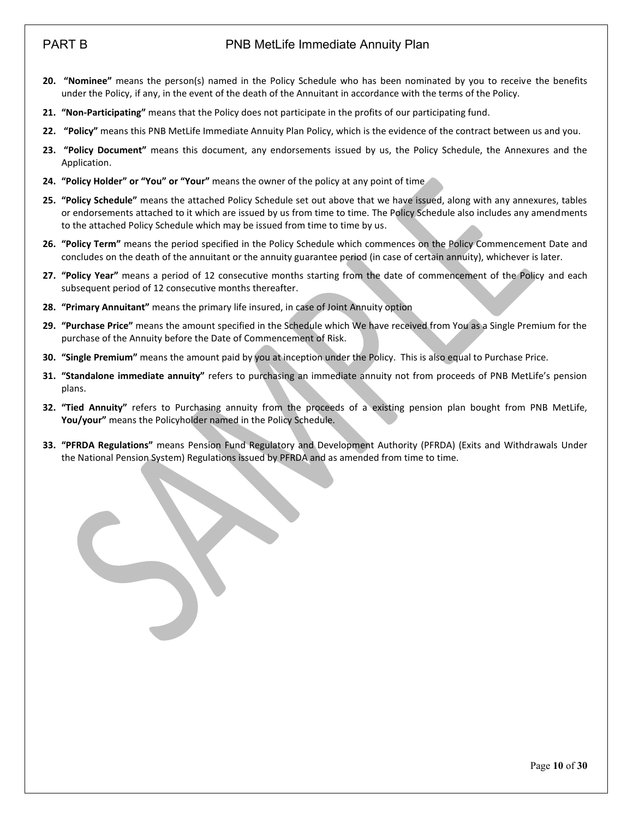# PART B PART B POINT POINT POINT PART B

- **20. "Nominee"** means the person(s) named in the Policy Schedule who has been nominated by you to receive the benefits under the Policy, if any, in the event of the death of the Annuitant in accordance with the terms of the Policy.
- **21. "Non-Participating"** means that the Policy does not participate in the profits of our participating fund.
- **22. "Policy"** means this PNB MetLife Immediate Annuity Plan Policy, which is the evidence of the contract between us and you.
- **23. "Policy Document"** means this document, any endorsements issued by us, the Policy Schedule, the Annexures and the Application.
- **24. "Policy Holder" or "You" or "Your"** means the owner of the policy at any point of time
- **25. "Policy Schedule"** means the attached Policy Schedule set out above that we have issued, along with any annexures, tables or endorsements attached to it which are issued by us from time to time. The Policy Schedule also includes any amendments to the attached Policy Schedule which may be issued from time to time by us.
- **26. "Policy Term"** means the period specified in the Policy Schedule which commences on the Policy Commencement Date and concludes on the death of the annuitant or the annuity guarantee period (in case of certain annuity), whichever is later.
- **27. "Policy Year"** means a period of 12 consecutive months starting from the date of commencement of the Policy and each subsequent period of 12 consecutive months thereafter.
- **28. "Primary Annuitant"** means the primary life insured, in case of Joint Annuity option
- **29. "Purchase Price"** means the amount specified in the Schedule which We have received from You as a Single Premium for the purchase of the Annuity before the Date of Commencement of Risk.
- **30. "Single Premium"** means the amount paid by you at inception under the Policy. This is also equal to Purchase Price.
- **31. "Standalone immediate annuity"** refers to purchasing an immediate annuity not from proceeds of PNB MetLife's pension plans.
- **32. "Tied Annuity"** refers to Purchasing annuity from the proceeds of a existing pension plan bought from PNB MetLife, **You/your"** means the Policyholder named in the Policy Schedule.
- **33. "PFRDA Regulations"** means Pension Fund Regulatory and Development Authority (PFRDA) (Exits and Withdrawals Under the National Pension System) Regulations issued by PFRDA and as amended from time to time.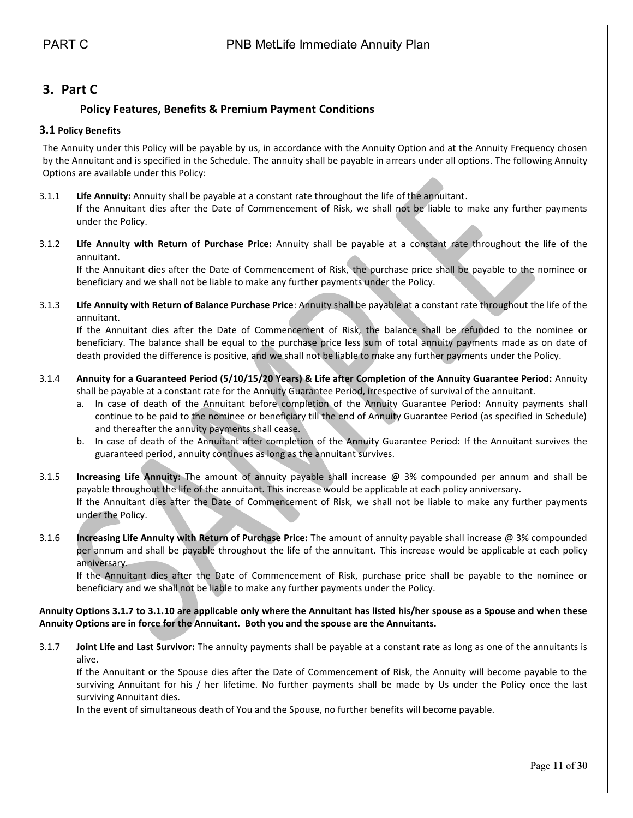# <span id="page-10-1"></span><span id="page-10-0"></span>**3. Part C**

## **Policy Features, Benefits & Premium Payment Conditions**

### <span id="page-10-2"></span>**3.1 Policy Benefits**

The Annuity under this Policy will be payable by us, in accordance with the Annuity Option and at the Annuity Frequency chosen by the Annuitant and is specified in the Schedule. The annuity shall be payable in arrears under all options. The following Annuity Options are available under this Policy:

3.1.1 **Life Annuity:** Annuity shall be payable at a constant rate throughout the life of the annuitant. If the Annuitant dies after the Date of Commencement of Risk, we shall not be liable to make any further payments under the Policy.

3.1.2 **Life Annuity with Return of Purchase Price:** Annuity shall be payable at a constant rate throughout the life of the annuitant.

If the Annuitant dies after the Date of Commencement of Risk, the purchase price shall be payable to the nominee or beneficiary and we shall not be liable to make any further payments under the Policy.

3.1.3 **Life Annuity with Return of Balance Purchase Price**: Annuity shall be payable at a constant rate throughout the life of the annuitant.

If the Annuitant dies after the Date of Commencement of Risk, the balance shall be refunded to the nominee or beneficiary. The balance shall be equal to the purchase price less sum of total annuity payments made as on date of death provided the difference is positive, and we shall not be liable to make any further payments under the Policy.

- 3.1.4 **Annuity for a Guaranteed Period (5/10/15/20 Years) & Life after Completion of the Annuity Guarantee Period:** Annuity shall be payable at a constant rate for the Annuity Guarantee Period, irrespective of survival of the annuitant.
	- a. In case of death of the Annuitant before completion of the Annuity Guarantee Period: Annuity payments shall continue to be paid to the nominee or beneficiary till the end of Annuity Guarantee Period (as specified in Schedule) and thereafter the annuity payments shall cease.
	- b. In case of death of the Annuitant after completion of the Annuity Guarantee Period: If the Annuitant survives the guaranteed period, annuity continues as long as the annuitant survives.

3.1.5 **Increasing Life Annuity:** The amount of annuity payable shall increase @ 3% compounded per annum and shall be payable throughout the life of the annuitant. This increase would be applicable at each policy anniversary. If the Annuitant dies after the Date of Commencement of Risk, we shall not be liable to make any further payments under the Policy.

3.1.6 **Increasing Life Annuity with Return of Purchase Price:** The amount of annuity payable shall increase @ 3% compounded per annum and shall be payable throughout the life of the annuitant. This increase would be applicable at each policy anniversary.

If the Annuitant dies after the Date of Commencement of Risk, purchase price shall be payable to the nominee or beneficiary and we shall not be liable to make any further payments under the Policy.

#### **Annuity Options 3.1.7 to 3.1.10 are applicable only where the Annuitant has listed his/her spouse as a Spouse and when these Annuity Options are in force for the Annuitant. Both you and the spouse are the Annuitants.**

3.1.7 **Joint Life and Last Survivor:** The annuity payments shall be payable at a constant rate as long as one of the annuitants is alive.

If the Annuitant or the Spouse dies after the Date of Commencement of Risk, the Annuity will become payable to the surviving Annuitant for his / her lifetime. No further payments shall be made by Us under the Policy once the last surviving Annuitant dies.

In the event of simultaneous death of You and the Spouse, no further benefits will become payable.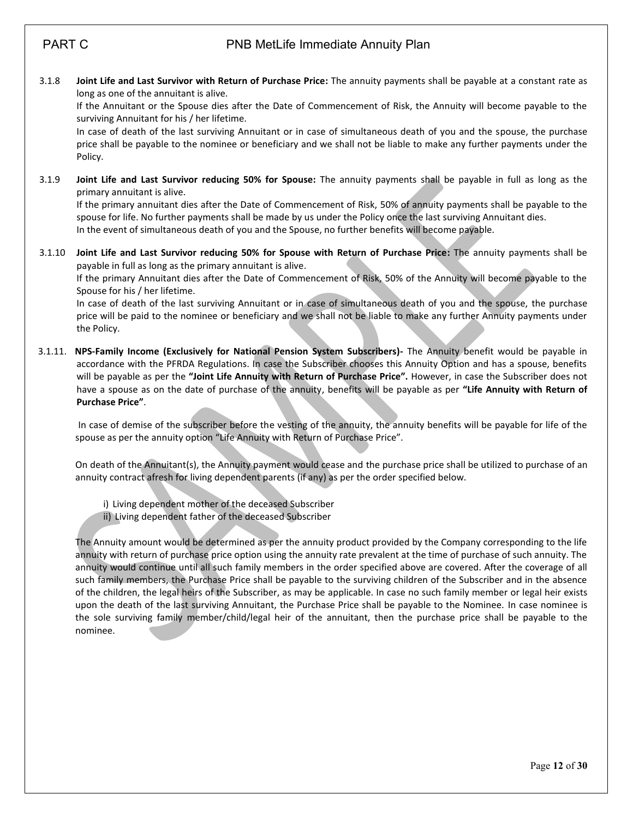3.1.8 **Joint Life and Last Survivor with Return of Purchase Price:** The annuity payments shall be payable at a constant rate as long as one of the annuitant is alive.

If the Annuitant or the Spouse dies after the Date of Commencement of Risk, the Annuity will become payable to the surviving Annuitant for his / her lifetime.

In case of death of the last surviving Annuitant or in case of simultaneous death of you and the spouse, the purchase price shall be payable to the nominee or beneficiary and we shall not be liable to make any further payments under the Policy.

3.1.9 **Joint Life and Last Survivor reducing 50% for Spouse:** The annuity payments shall be payable in full as long as the primary annuitant is alive.

If the primary annuitant dies after the Date of Commencement of Risk, 50% of annuity payments shall be payable to the spouse for life. No further payments shall be made by us under the Policy once the last surviving Annuitant dies. In the event of simultaneous death of you and the Spouse, no further benefits will become payable.

3.1.10 **Joint Life and Last Survivor reducing 50% for Spouse with Return of Purchase Price:** The annuity payments shall be payable in full as long as the primary annuitant is alive.

If the primary Annuitant dies after the Date of Commencement of Risk, 50% of the Annuity will become payable to the Spouse for his / her lifetime.

In case of death of the last surviving Annuitant or in case of simultaneous death of you and the spouse, the purchase price will be paid to the nominee or beneficiary and we shall not be liable to make any further Annuity payments under the Policy.

3.1.11. **NPS-Family Income (Exclusively for National Pension System Subscribers)-** The Annuity benefit would be payable in accordance with the PFRDA Regulations. In case the Subscriber chooses this Annuity Option and has a spouse, benefits will be payable as per the **"Joint Life Annuity with Return of Purchase Price".** However, in case the Subscriber does not have a spouse as on the date of purchase of the annuity, benefits will be payable as per **"Life Annuity with Return of Purchase Price"**.

In case of demise of the subscriber before the vesting of the annuity, the annuity benefits will be payable for life of the spouse as per the annuity option "Life Annuity with Return of Purchase Price".

On death of the Annuitant(s), the Annuity payment would cease and the purchase price shall be utilized to purchase of an annuity contract afresh for living dependent parents (if any) as per the order specified below.

- i) Living dependent mother of the deceased Subscriber
- ii) Living dependent father of the deceased Subscriber

The Annuity amount would be determined as per the annuity product provided by the Company corresponding to the life annuity with return of purchase price option using the annuity rate prevalent at the time of purchase of such annuity. The annuity would continue until all such family members in the order specified above are covered. After the coverage of all such family members, the Purchase Price shall be payable to the surviving children of the Subscriber and in the absence of the children, the legal heirs of the Subscriber, as may be applicable. In case no such family member or legal heir exists upon the death of the last surviving Annuitant, the Purchase Price shall be payable to the Nominee. In case nominee is the sole surviving family member/child/legal heir of the annuitant, then the purchase price shall be payable to the nominee.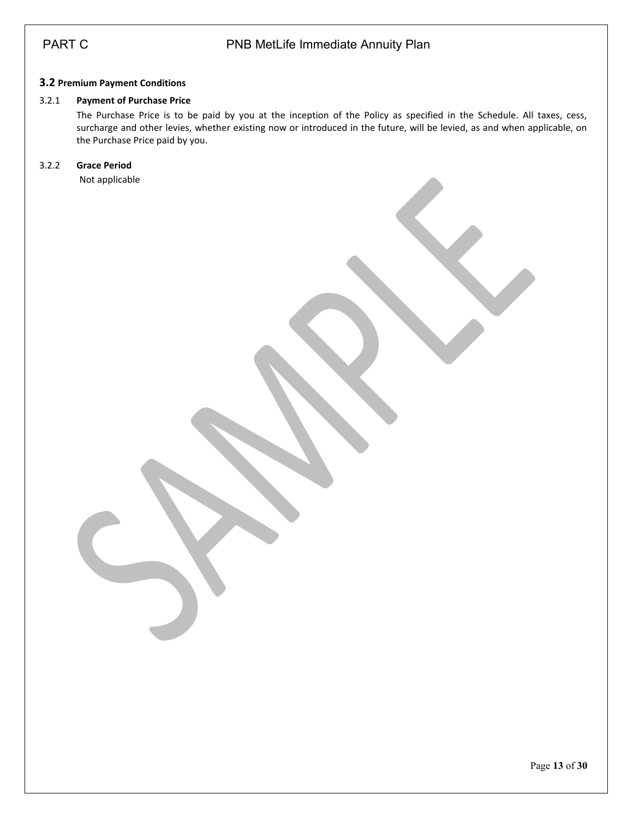### <span id="page-12-0"></span>**3.2 Premium Payment Conditions**

#### 3.2.1 **Payment of Purchase Price**

The Purchase Price is to be paid by you at the inception of the Policy as specified in the Schedule. All taxes, cess, surcharge and other levies, whether existing now or introduced in the future, will be levied, as and when applicable, on the Purchase Price paid by you.

## 3.2.2 **Grace Period**

Not applicable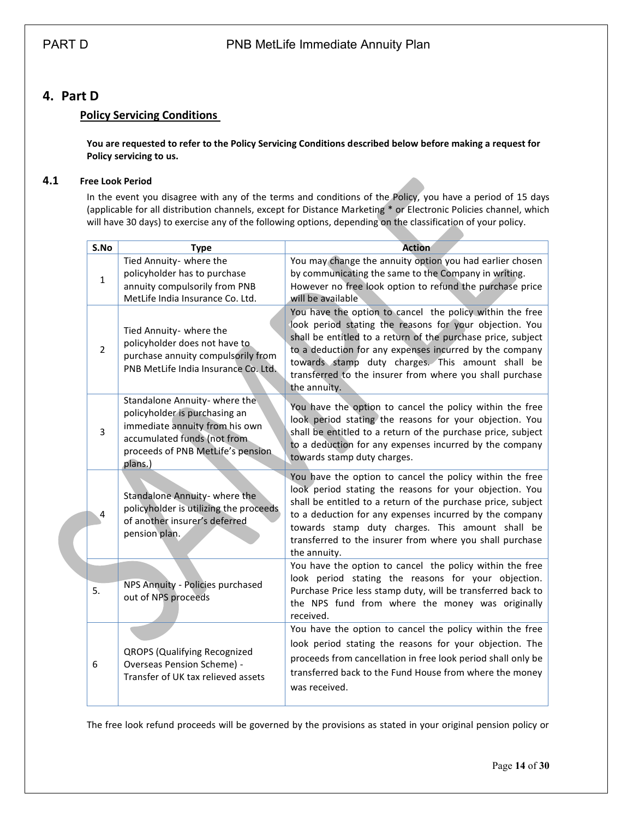# <span id="page-13-1"></span><span id="page-13-0"></span>**4. Part D**

### **Policy Servicing Conditions**

**You are requested to refer to the Policy Servicing Conditions described below before making a request for Policy servicing to us.**

#### <span id="page-13-2"></span>**4.1 Free Look Period**

In the event you disagree with any of the terms and conditions of the Policy, you have a period of 15 days (applicable for all distribution channels, except for Distance Marketing \* or Electronic Policies channel, which will have 30 days) to exercise any of the following options, depending on the classification of your policy.

|                | S.No         | <b>Type</b>                                                                                                                                                                      | <b>Action</b>                                                                                                                                                                                                                                                                                                                                                                  |  |
|----------------|--------------|----------------------------------------------------------------------------------------------------------------------------------------------------------------------------------|--------------------------------------------------------------------------------------------------------------------------------------------------------------------------------------------------------------------------------------------------------------------------------------------------------------------------------------------------------------------------------|--|
|                | $\mathbf{1}$ | Tied Annuity- where the<br>policyholder has to purchase<br>annuity compulsorily from PNB<br>MetLife India Insurance Co. Ltd.                                                     | You may change the annuity option you had earlier chosen<br>by communicating the same to the Company in writing.<br>However no free look option to refund the purchase price<br>will be available                                                                                                                                                                              |  |
| $\overline{2}$ |              | Tied Annuity- where the<br>policyholder does not have to<br>purchase annuity compulsorily from<br>PNB MetLife India Insurance Co. Ltd.                                           | You have the option to cancel the policy within the free<br>look period stating the reasons for your objection. You<br>shall be entitled to a return of the purchase price, subject<br>to a deduction for any expenses incurred by the company<br>towards stamp duty charges. This amount shall be<br>transferred to the insurer from where you shall purchase<br>the annuity. |  |
|                | 3            | Standalone Annuity- where the<br>policyholder is purchasing an<br>immediate annuity from his own<br>accumulated funds (not from<br>proceeds of PNB MetLife's pension.<br>plans.) | You have the option to cancel the policy within the free<br>look period stating the reasons for your objection. You<br>shall be entitled to a return of the purchase price, subject<br>to a deduction for any expenses incurred by the company<br>towards stamp duty charges.                                                                                                  |  |
|                | 4            | Standalone Annuity- where the<br>policyholder is utilizing the proceeds<br>of another insurer's deferred<br>pension plan.                                                        | You have the option to cancel the policy within the free<br>look period stating the reasons for your objection. You<br>shall be entitled to a return of the purchase price, subject<br>to a deduction for any expenses incurred by the company<br>towards stamp duty charges. This amount shall be<br>transferred to the insurer from where you shall purchase<br>the annuity. |  |
|                | 5.           | NPS Annuity - Policies purchased<br>out of NPS proceeds                                                                                                                          | You have the option to cancel the policy within the free<br>look period stating the reasons for your objection.<br>Purchase Price less stamp duty, will be transferred back to<br>the NPS fund from where the money was originally<br>received.                                                                                                                                |  |
| 6              |              | <b>QROPS (Qualifying Recognized</b><br>Overseas Pension Scheme) -<br>Transfer of UK tax relieved assets                                                                          | You have the option to cancel the policy within the free<br>look period stating the reasons for your objection. The<br>proceeds from cancellation in free look period shall only be<br>transferred back to the Fund House from where the money<br>was received.                                                                                                                |  |

The free look refund proceeds will be governed by the provisions as stated in your original pension policy or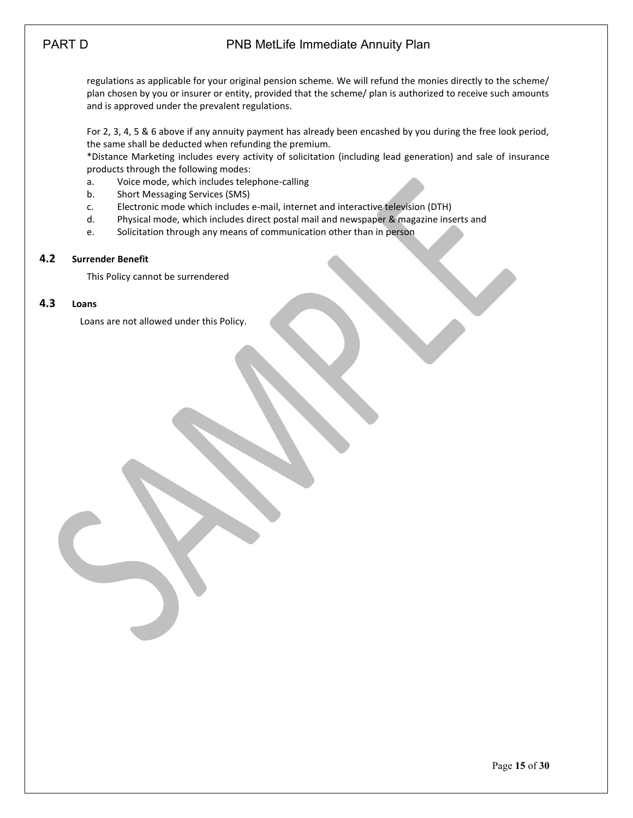# PART D **PART D** PNB MetLife Immediate Annuity Plan

regulations as applicable for your original pension scheme. We will refund the monies directly to the scheme/ plan chosen by you or insurer or entity, provided that the scheme/ plan is authorized to receive such amounts and is approved under the prevalent regulations.

For 2, 3, 4, 5 & 6 above if any annuity payment has already been encashed by you during the free look period, the same shall be deducted when refunding the premium.

\*Distance Marketing includes every activity of solicitation (including lead generation) and sale of insurance products through the following modes:

- a. Voice mode, which includes telephone-calling
- b. Short Messaging Services (SMS)
- c. Electronic mode which includes e-mail, internet and interactive television (DTH)
- d. Physical mode, which includes direct postal mail and newspaper & magazine inserts and
- e. Solicitation through any means of communication other than in person

#### <span id="page-14-0"></span>**4.2 Surrender Benefit**

This Policy cannot be surrendered

#### <span id="page-14-1"></span>**4.3 Loans**

Loans are not allowed under this Policy.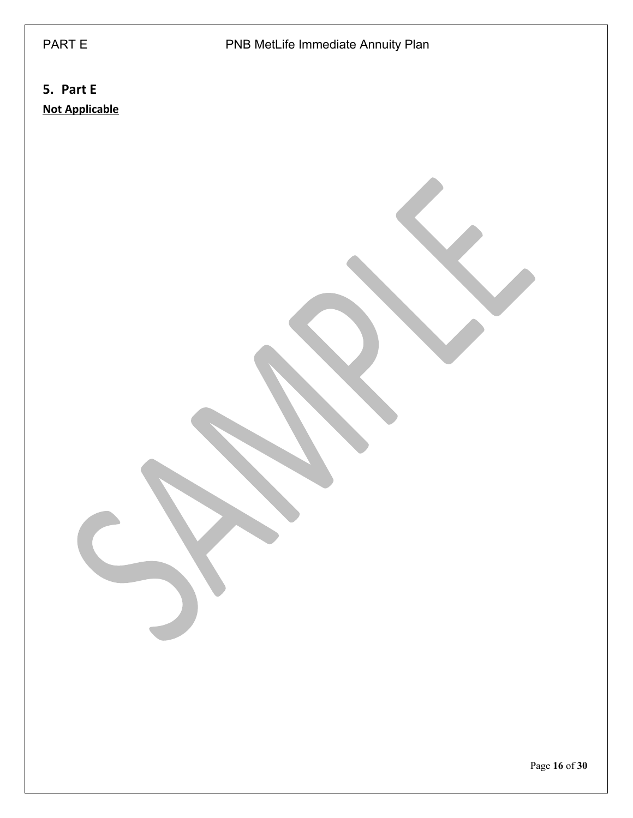# PART E PART E PNB MetLife Immediate Annuity Plan

# <span id="page-15-0"></span>**5. Part E Not Applicable**

Page **16** of **30**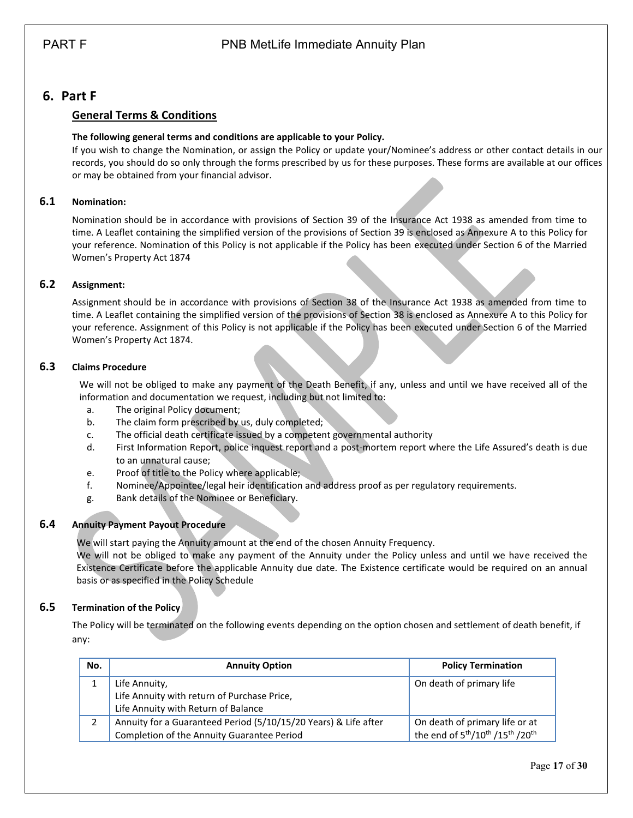# <span id="page-16-1"></span><span id="page-16-0"></span>**6. Part F**

## **General Terms & Conditions**

### **The following general terms and conditions are applicable to your Policy.**

If you wish to change the Nomination, or assign the Policy or update your/Nominee's address or other contact details in our records, you should do so only through the forms prescribed by us for these purposes. These forms are available at our offices or may be obtained from your financial advisor.

### <span id="page-16-2"></span>**6.1 Nomination:**

Nomination should be in accordance with provisions of Section 39 of the Insurance Act 1938 as amended from time to time. A Leaflet containing the simplified version of the provisions of Section 39 is enclosed as Annexure A to this Policy for your reference. Nomination of this Policy is not applicable if the Policy has been executed under Section 6 of the Married Women's Property Act 1874

### <span id="page-16-3"></span>**6.2 Assignment:**

Assignment should be in accordance with provisions of Section 38 of the Insurance Act 1938 as amended from time to time. A Leaflet containing the simplified version of the provisions of Section 38 is enclosed as Annexure A to this Policy for your reference. Assignment of this Policy is not applicable if the Policy has been executed under Section 6 of the Married Women's Property Act 1874.

#### <span id="page-16-4"></span>**6.3 Claims Procedure**

We will not be obliged to make any payment of the Death Benefit, if any, unless and until we have received all of the information and documentation we request, including but not limited to:

- a. The original Policy document;
- b. The claim form prescribed by us, duly completed;
- c. The official death certificate issued by a competent governmental authority
- d. First Information Report, police inquest report and a post-mortem report where the Life Assured's death is due to an unnatural cause;
- e. Proof of title to the Policy where applicable;
- f. Nominee/Appointee/legal heir identification and address proof as per regulatory requirements.
- g. Bank details of the Nominee or Beneficiary.

### <span id="page-16-5"></span>**6.4 Annuity Payment Payout Procedure**

We will start paying the Annuity amount at the end of the chosen Annuity Frequency.

We will not be obliged to make any payment of the Annuity under the Policy unless and until we have received the Existence Certificate before the applicable Annuity due date. The Existence certificate would be required on an annual basis or as specified in the Policy Schedule

### <span id="page-16-6"></span>**6.5 Termination of the Policy**

The Policy will be terminated on the following events depending on the option chosen and settlement of death benefit, if any:

| No. | <b>Annuity Option</b>                                           | <b>Policy Termination</b>                                                        |
|-----|-----------------------------------------------------------------|----------------------------------------------------------------------------------|
|     | Life Annuity,                                                   | On death of primary life                                                         |
|     | Life Annuity with return of Purchase Price,                     |                                                                                  |
|     | Life Annuity with Return of Balance                             |                                                                                  |
|     | Annuity for a Guaranteed Period (5/10/15/20 Years) & Life after | On death of primary life or at                                                   |
|     | Completion of the Annuity Guarantee Period                      | the end of 5 <sup>th</sup> /10 <sup>th</sup> /15 <sup>th</sup> /20 <sup>th</sup> |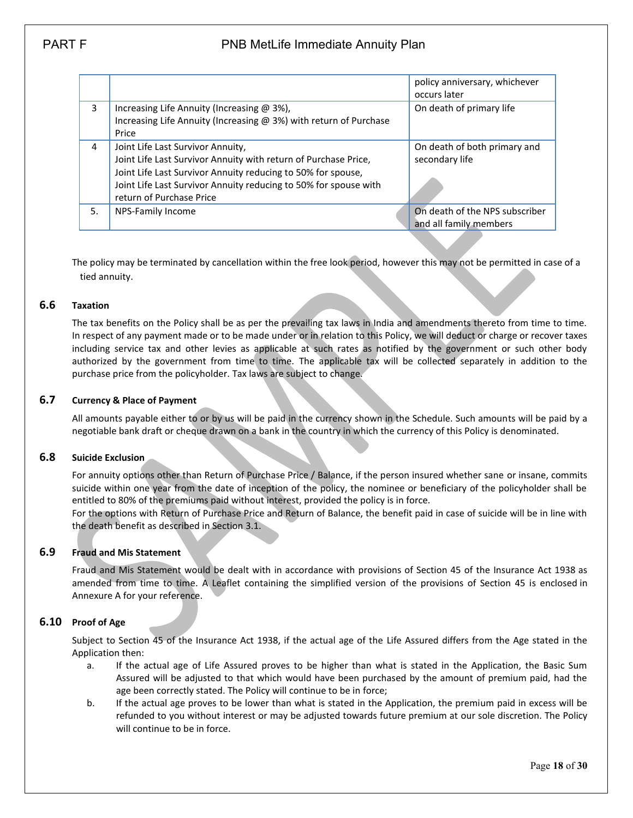# PART F PART PUB MetLife Immediate Annuity Plan

|    |                                                                                                                                                                                                                                                                      | policy anniversary, whichever<br>occurs later            |
|----|----------------------------------------------------------------------------------------------------------------------------------------------------------------------------------------------------------------------------------------------------------------------|----------------------------------------------------------|
| 3  | Increasing Life Annuity (Increasing @ 3%),<br>Increasing Life Annuity (Increasing @ 3%) with return of Purchase<br>Price                                                                                                                                             | On death of primary life                                 |
| 4  | Joint Life Last Survivor Annuity,<br>Joint Life Last Survivor Annuity with return of Purchase Price,<br>Joint Life Last Survivor Annuity reducing to 50% for spouse,<br>Joint Life Last Survivor Annuity reducing to 50% for spouse with<br>return of Purchase Price | On death of both primary and<br>secondary life           |
| 5. | NPS-Family Income                                                                                                                                                                                                                                                    | On death of the NPS subscriber<br>and all family members |
|    |                                                                                                                                                                                                                                                                      |                                                          |

The policy may be terminated by cancellation within the free look period, however this may not be permitted in case of a tied annuity.

#### <span id="page-17-0"></span>**6.6 Taxation**

The tax benefits on the Policy shall be as per the prevailing tax laws in India and amendments thereto from time to time. In respect of any payment made or to be made under or in relation to this Policy, we will deduct or charge or recover taxes including service tax and other levies as applicable at such rates as notified by the government or such other body authorized by the government from time to time. The applicable tax will be collected separately in addition to the purchase price from the policyholder. Tax laws are subject to change.

#### <span id="page-17-1"></span>**6.7 Currency & Place of Payment**

All amounts payable either to or by us will be paid in the currency shown in the Schedule. Such amounts will be paid by a negotiable bank draft or cheque drawn on a bank in the country in which the currency of this Policy is denominated.

#### <span id="page-17-2"></span>**6.8 Suicide Exclusion**

For annuity options other than Return of Purchase Price / Balance, if the person insured whether sane or insane, commits suicide within one year from the date of inception of the policy, the nominee or beneficiary of the policyholder shall be entitled to 80% of the premiums paid without interest, provided the policy is in force.

For the options with Return of Purchase Price and Return of Balance, the benefit paid in case of suicide will be in line with the death benefit as described in Section 3.1.

#### <span id="page-17-3"></span>**6.9 Fraud and Mis Statement**

Fraud and Mis Statement would be dealt with in accordance with provisions of Section 45 of the Insurance Act 1938 as amended from time to time. A Leaflet containing the simplified version of the provisions of Section 45 is enclosed in Annexure A for your reference.

### <span id="page-17-4"></span>**6.10 Proof of Age**

Subject to Section 45 of the Insurance Act 1938, if the actual age of the Life Assured differs from the Age stated in the Application then:

- a. If the actual age of Life Assured proves to be higher than what is stated in the Application, the Basic Sum Assured will be adjusted to that which would have been purchased by the amount of premium paid, had the age been correctly stated. The Policy will continue to be in force;
- b. If the actual age proves to be lower than what is stated in the Application, the premium paid in excess will be refunded to you without interest or may be adjusted towards future premium at our sole discretion. The Policy will continue to be in force.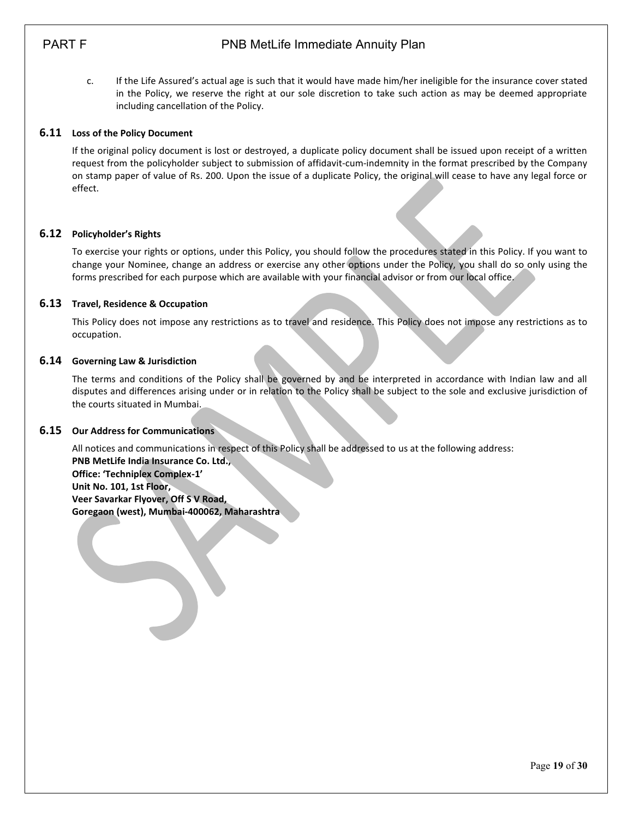# PART F PART PUB MetLife Immediate Annuity Plan

c. If the Life Assured's actual age is such that it would have made him/her ineligible for the insurance cover stated in the Policy, we reserve the right at our sole discretion to take such action as may be deemed appropriate including cancellation of the Policy.

#### <span id="page-18-0"></span>**6.11 Loss of the Policy Document**

If the original policy document is lost or destroyed, a duplicate policy document shall be issued upon receipt of a written request from the policyholder subject to submission of affidavit-cum-indemnity in the format prescribed by the Company on stamp paper of value of Rs. 200. Upon the issue of a duplicate Policy, the original will cease to have any legal force or effect.

#### <span id="page-18-1"></span>**6.12 Policyholder's Rights**

To exercise your rights or options, under this Policy, you should follow the procedures stated in this Policy. If you want to change your Nominee, change an address or exercise any other options under the Policy, you shall do so only using the forms prescribed for each purpose which are available with your financial advisor or from our local office.

#### <span id="page-18-2"></span>**6.13 Travel, Residence & Occupation**

This Policy does not impose any restrictions as to travel and residence. This Policy does not impose any restrictions as to occupation.

#### <span id="page-18-3"></span>**6.14 Governing Law & Jurisdiction**

The terms and conditions of the Policy shall be governed by and be interpreted in accordance with Indian law and all disputes and differences arising under or in relation to the Policy shall be subject to the sole and exclusive jurisdiction of the courts situated in Mumbai.

#### <span id="page-18-4"></span>**6.15 Our Address for Communications**

All notices and communications in respect of this Policy shall be addressed to us at the following address: **PNB MetLife India Insurance Co. Ltd., Office: 'Techniplex Complex-1' Unit No. 101, 1st Floor, Veer Savarkar Flyover, Off S V Road, Goregaon (west), Mumbai-400062, Maharashtra**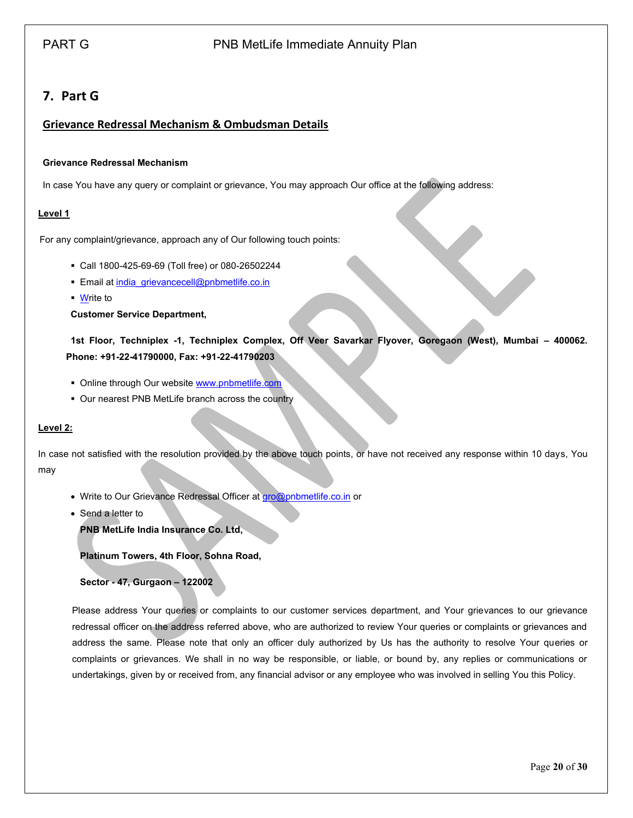# <span id="page-19-0"></span>**7. Part G**

## <span id="page-19-1"></span>**Grievance Redressal Mechanism & Ombudsman Details**

#### **Grievance Redressal Mechanism**

In case You have any query or complaint or grievance, You may approach Our office at the following address:

#### **Level 1**

For any complaint/grievance, approach any of Our following touch points:

- Call 1800-425-69-69 (Toll free) or 080-26502244
- **Email a[t india\\_grievancecell@pnbmetlife.co.in](mailto:india_grievancecell@pnbmetlife.co.in)**
- Write to

#### **Customer Service Department,**

**1st Floor, Techniplex -1, Techniplex Complex, Off Veer Savarkar Flyover, Goregaon (West), Mumbai – 400062. Phone: +91-22-41790000, Fax: +91-22-41790203**

- Online through Our website [www.pnbmetlife.com](http://www.pnbmetlife.com/)
- Our nearest PNB MetLife branch across the country

#### **Level 2:**

In case not satisfied with the resolution provided by the above touch points, or have not received any response within 10 days, You may

- Write to Our Grievance Redressal Officer at [gro@pnbmetlife.co.in](mailto:gro@pnbmetlife.co.in) or
- Send a letter to

**PNB MetLife India Insurance Co. Ltd,**

**Platinum Towers, 4th Floor, Sohna Road,** 

**Sector - 47, Gurgaon – 122002**

Please address Your queries or complaints to our customer services department, and Your grievances to our grievance redressal officer on the address referred above, who are authorized to review Your queries or complaints or grievances and address the same. Please note that only an officer duly authorized by Us has the authority to resolve Your queries or complaints or grievances. We shall in no way be responsible, or liable, or bound by, any replies or communications or undertakings, given by or received from, any financial advisor or any employee who was involved in selling You this Policy.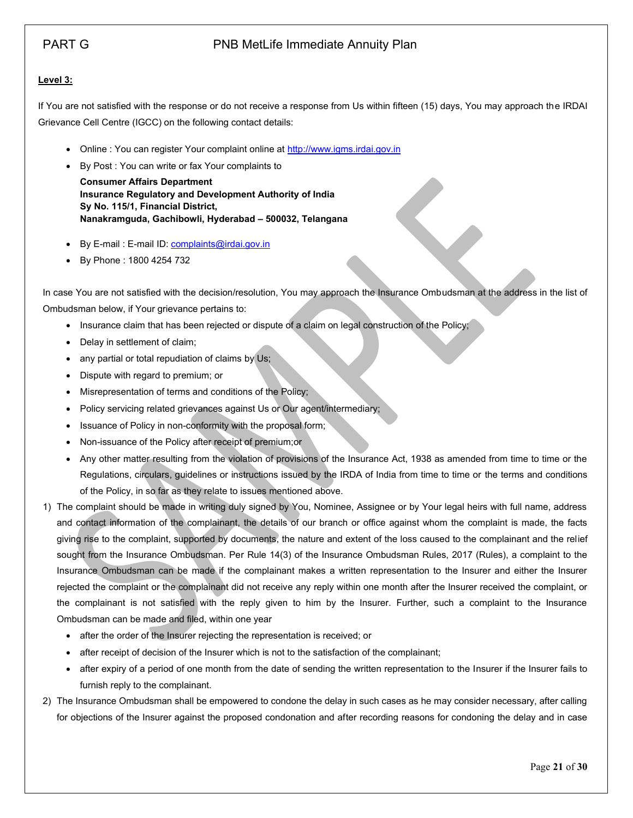### **Level 3:**

If You are not satisfied with the response or do not receive a response from Us within fifteen (15) days, You may approach the IRDAI Grievance Cell Centre (IGCC) on the following contact details:

- Online : You can register Your complaint online at [http://www.igms.irdai.gov.in](http://www.igms.irdai.gov.in/)
- By Post : You can write or fax Your complaints to

**Consumer Affairs Department Insurance Regulatory and Development Authority of India Sy No. 115/1, Financial District, Nanakramguda, Gachibowli, Hyderabad – 500032, Telangana**

- By E-mail : E-mail ID[: complaints@irdai.gov.in](mailto:complaints@irdai.gov.in)
- By Phone : 1800 4254 732

In case You are not satisfied with the decision/resolution, You may approach the Insurance Ombudsman at the address in the list of Ombudsman below, if Your grievance pertains to:

- Insurance claim that has been rejected or dispute of a claim on legal construction of the Policy;
- Delay in settlement of claim;
- any partial or total repudiation of claims by Us;
- Dispute with regard to premium; or
- Misrepresentation of terms and conditions of the Policy;
- Policy servicing related grievances against Us or Our agent/intermediary;
- Issuance of Policy in non-conformity with the proposal form;
- Non-issuance of the Policy after receipt of premium;or
- Any other matter resulting from the violation of provisions of the Insurance Act, 1938 as amended from time to time or the Regulations, circulars, guidelines or instructions issued by the IRDA of India from time to time or the terms and conditions of the Policy, in so far as they relate to issues mentioned above.
- 1) The complaint should be made in writing duly signed by You, Nominee, Assignee or by Your legal heirs with full name, address and contact information of the complainant, the details of our branch or office against whom the complaint is made, the facts giving rise to the complaint, supported by documents, the nature and extent of the loss caused to the complainant and the relief sought from the Insurance Ombudsman. Per Rule 14(3) of the Insurance Ombudsman Rules, 2017 (Rules), a complaint to the Insurance Ombudsman can be made if the complainant makes a written representation to the Insurer and either the Insurer rejected the complaint or the complainant did not receive any reply within one month after the Insurer received the complaint, or the complainant is not satisfied with the reply given to him by the Insurer. Further, such a complaint to the Insurance Ombudsman can be made and filed, within one year
	- after the order of the Insurer rejecting the representation is received; or
	- after receipt of decision of the Insurer which is not to the satisfaction of the complainant;
	- after expiry of a period of one month from the date of sending the written representation to the Insurer if the Insurer fails to furnish reply to the complainant.
- 2) The Insurance Ombudsman shall be empowered to condone the delay in such cases as he may consider necessary, after calling for objections of the Insurer against the proposed condonation and after recording reasons for condoning the delay and in case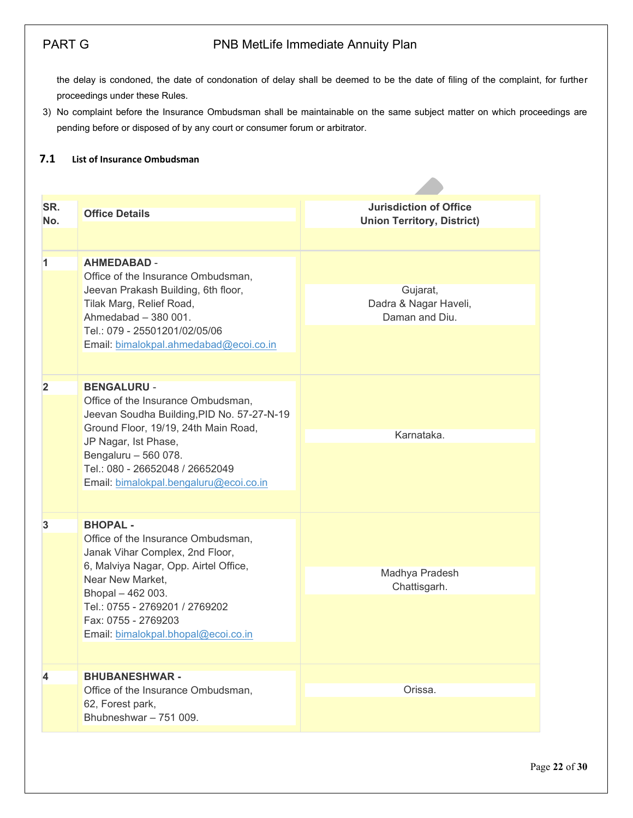the delay is condoned, the date of condonation of delay shall be deemed to be the date of filing of the complaint, for further proceedings under these Rules.

3) No complaint before the Insurance Ombudsman shall be maintainable on the same subject matter on which proceedings are pending before or disposed of by any court or consumer forum or arbitrator.

### <span id="page-21-0"></span>**7.1 List of Insurance Ombudsman**

| SR.<br>No. | <b>Office Details</b>                                                                                                                                                                                                                                                       | <b>Jurisdiction of Office</b><br><b>Union Territory, District)</b> |
|------------|-----------------------------------------------------------------------------------------------------------------------------------------------------------------------------------------------------------------------------------------------------------------------------|--------------------------------------------------------------------|
| 1          | <b>AHMEDABAD -</b><br>Office of the Insurance Ombudsman,<br>Jeevan Prakash Building, 6th floor,<br>Tilak Marg, Relief Road,<br>Ahmedabad - 380 001.<br>Tel.: 079 - 25501201/02/05/06<br>Email: bimalokpal.ahmedabad@ecoi.co.in                                              | Gujarat,<br>Dadra & Nagar Haveli,<br>Daman and Diu.                |
| 2          | <b>BENGALURU -</b><br>Office of the Insurance Ombudsman,<br>Jeevan Soudha Building, PID No. 57-27-N-19<br>Ground Floor, 19/19, 24th Main Road,<br>JP Nagar, Ist Phase,<br>Bengaluru - 560 078.<br>Tel.: 080 - 26652048 / 26652049<br>Email: bimalokpal.bengaluru@ecoi.co.in | Karnataka.                                                         |
| 3          | <b>BHOPAL -</b><br>Office of the Insurance Ombudsman,<br>Janak Vihar Complex, 2nd Floor,<br>6, Malviya Nagar, Opp. Airtel Office,<br>Near New Market,<br>Bhopal - 462 003.<br>Tel.: 0755 - 2769201 / 2769202<br>Fax: 0755 - 2769203<br>Email: bimalokpal.bhopal@ecoi.co.in  | Madhya Pradesh<br>Chattisgarh.                                     |
| 4          | <b>BHUBANESHWAR-</b><br>Office of the Insurance Ombudsman,<br>62, Forest park,<br>Bhubneshwar - 751 009.                                                                                                                                                                    | Orissa.                                                            |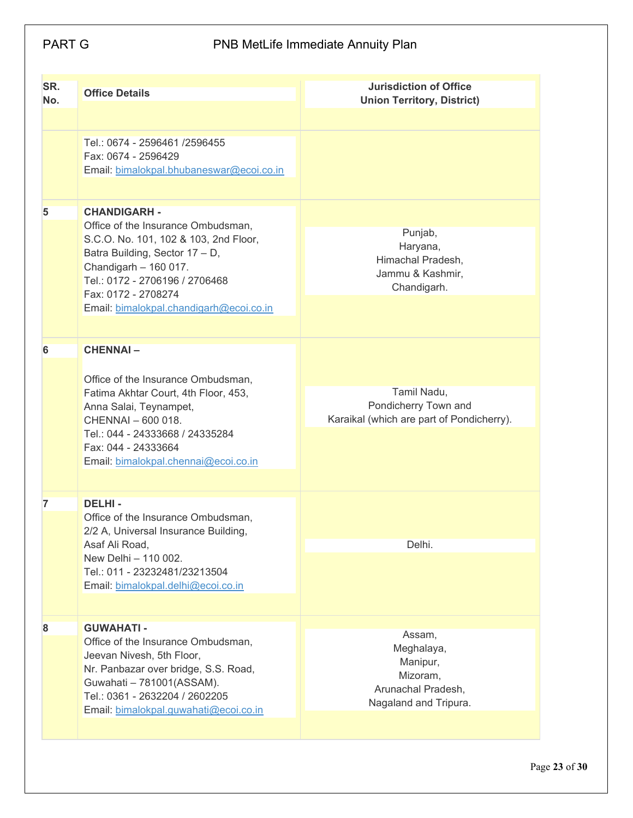| SR.<br>No. | <b>Office Details</b>                                                                                                                                                                                                                                             | <b>Jurisdiction of Office</b><br><b>Union Territory, District)</b>                          |
|------------|-------------------------------------------------------------------------------------------------------------------------------------------------------------------------------------------------------------------------------------------------------------------|---------------------------------------------------------------------------------------------|
|            | Tel.: 0674 - 2596461 /2596455<br>Fax: 0674 - 2596429<br>Email: bimalokpal.bhubaneswar@ecoi.co.in                                                                                                                                                                  |                                                                                             |
| 5          | <b>CHANDIGARH -</b><br>Office of the Insurance Ombudsman,<br>S.C.O. No. 101, 102 & 103, 2nd Floor,<br>Batra Building, Sector 17 - D,<br>Chandigarh - 160 017.<br>Tel.: 0172 - 2706196 / 2706468<br>Fax: 0172 - 2708274<br>Email: bimalokpal.chandigarh@ecoi.co.in | Punjab,<br>Haryana,<br>Himachal Pradesh,<br>Jammu & Kashmir,<br>Chandigarh.                 |
| 6          | <b>CHENNAI-</b><br>Office of the Insurance Ombudsman,<br>Fatima Akhtar Court, 4th Floor, 453,<br>Anna Salai, Teynampet,<br>CHENNAI - 600 018.<br>Tel.: 044 - 24333668 / 24335284<br>Fax: 044 - 24333664<br>Email: bimalokpal.chennai@ecoi.co.in                   | Tamil Nadu,<br>Pondicherry Town and<br>Karaikal (which are part of Pondicherry).            |
| 7          | <b>DELHI-</b><br>Office of the Insurance Ombudsman,<br>2/2 A, Universal Insurance Building<br>Asaf Ali Road,<br>New Delhi - 110 002.<br>Tel.: 011 - 23232481/23213504<br>Email: bimalokpal.delhi@ecoi.co.in                                                       | Delhi.                                                                                      |
| 8          | <b>GUWAHATI -</b><br>Office of the Insurance Ombudsman,<br>Jeevan Nivesh, 5th Floor,<br>Nr. Panbazar over bridge, S.S. Road,<br>Guwahati - 781001(ASSAM).<br>Tel.: 0361 - 2632204 / 2602205<br>Email: bimalokpal.guwahati@ecoi.co.in                              | Assam,<br>Meghalaya,<br>Manipur,<br>Mizoram,<br>Arunachal Pradesh,<br>Nagaland and Tripura. |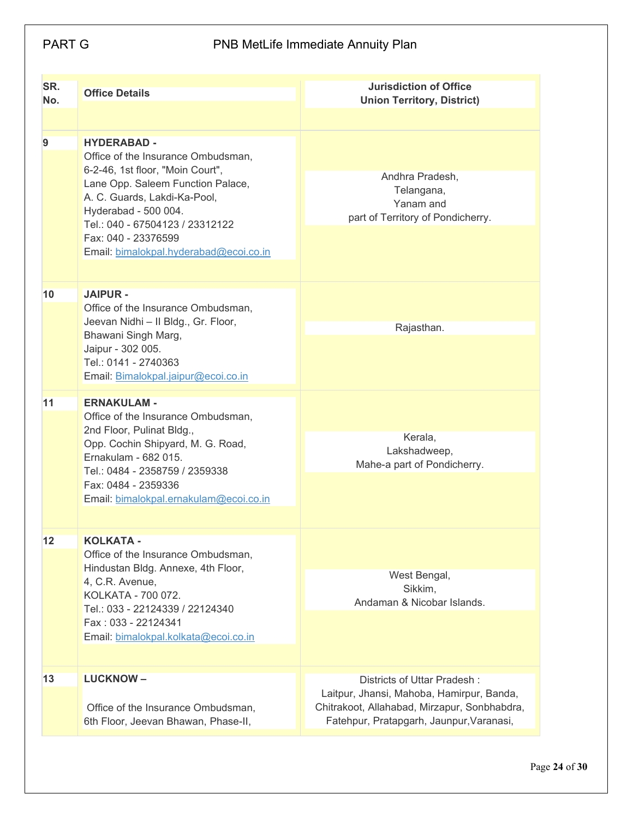| SR.<br>No. | <b>Office Details</b>                                                                                                                                                                                                                                                                         | <b>Jurisdiction of Office</b><br><b>Union Territory, District)</b>                                                                                                   |
|------------|-----------------------------------------------------------------------------------------------------------------------------------------------------------------------------------------------------------------------------------------------------------------------------------------------|----------------------------------------------------------------------------------------------------------------------------------------------------------------------|
| 9          | <b>HYDERABAD -</b><br>Office of the Insurance Ombudsman,<br>6-2-46, 1st floor, "Moin Court",<br>Lane Opp. Saleem Function Palace,<br>A. C. Guards, Lakdi-Ka-Pool,<br>Hyderabad - 500 004.<br>Tel.: 040 - 67504123 / 23312122<br>Fax: 040 - 23376599<br>Email: bimalokpal.hyderabad@ecoi.co.in | Andhra Pradesh,<br>Telangana,<br>Yanam and<br>part of Territory of Pondicherry.                                                                                      |
| 10         | <b>JAIPUR -</b>                                                                                                                                                                                                                                                                               |                                                                                                                                                                      |
|            | Office of the Insurance Ombudsman,<br>Jeevan Nidhi - Il Bldg., Gr. Floor,<br>Bhawani Singh Marg,<br>Jaipur - 302 005.<br>Tel.: 0141 - 2740363<br>Email: Bimalokpal.jaipur@ecoi.co.in                                                                                                          | Rajasthan.                                                                                                                                                           |
| 11         | <b>ERNAKULAM -</b><br>Office of the Insurance Ombudsman,<br>2nd Floor, Pulinat Bldg.,<br>Opp. Cochin Shipyard, M. G. Road,<br>Ernakulam - 682 015.<br>Tel.: 0484 - 2358759 / 2359338<br>Fax: 0484 - 2359336<br>Email: bimalokpal.ernakulam@ecoi.co.in                                         | Kerala,<br>Lakshadweep,<br>Mahe-a part of Pondicherry.                                                                                                               |
| 12         | <b>KOLKATA -</b><br>Office of the Insurance Ombudsman,<br>Hindustan Bldg. Annexe, 4th Floor,<br>4, C.R. Avenue,<br>KOLKATA - 700 072.<br>Tel.: 033 - 22124339 / 22124340<br>Fax: 033 - 22124341<br>Email: bimalokpal.kolkata@ecoi.co.in                                                       | West Bengal,<br>Sikkim,<br>Andaman & Nicobar Islands.                                                                                                                |
| 13         | <b>LUCKNOW-</b><br>Office of the Insurance Ombudsman,<br>6th Floor, Jeevan Bhawan, Phase-II,                                                                                                                                                                                                  | Districts of Uttar Pradesh:<br>Laitpur, Jhansi, Mahoba, Hamirpur, Banda,<br>Chitrakoot, Allahabad, Mirzapur, Sonbhabdra,<br>Fatehpur, Pratapgarh, Jaunpur, Varanasi, |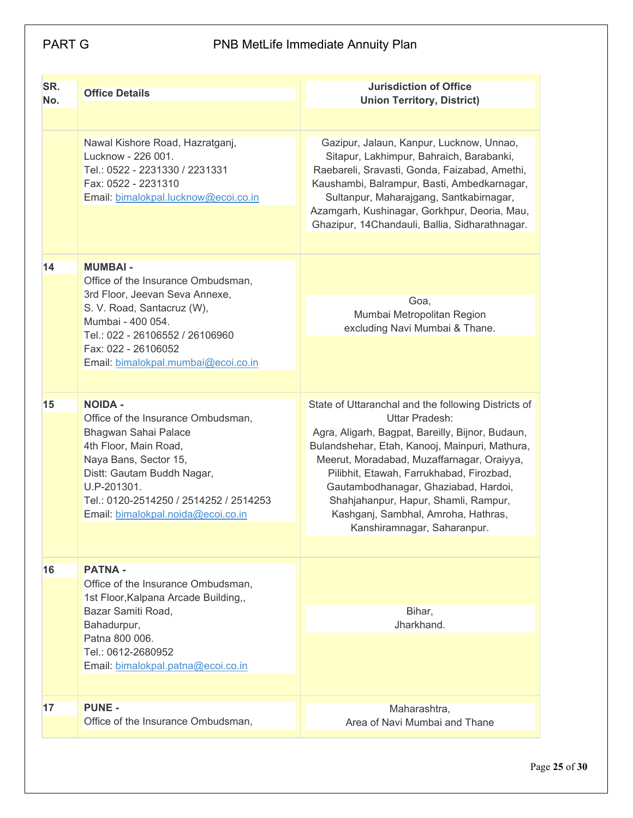| SR.<br>No. | <b>Office Details</b>                                                                                                                                                                                                                                       | <b>Jurisdiction of Office</b><br><b>Union Territory, District)</b>                                                                                                                                                                                                                                                                                                                                                          |
|------------|-------------------------------------------------------------------------------------------------------------------------------------------------------------------------------------------------------------------------------------------------------------|-----------------------------------------------------------------------------------------------------------------------------------------------------------------------------------------------------------------------------------------------------------------------------------------------------------------------------------------------------------------------------------------------------------------------------|
|            |                                                                                                                                                                                                                                                             |                                                                                                                                                                                                                                                                                                                                                                                                                             |
|            | Nawal Kishore Road, Hazratganj,<br>Lucknow - 226 001.<br>Tel.: 0522 - 2231330 / 2231331<br>Fax: 0522 - 2231310<br>Email: bimalokpal.lucknow@ecoi.co.in                                                                                                      | Gazipur, Jalaun, Kanpur, Lucknow, Unnao,<br>Sitapur, Lakhimpur, Bahraich, Barabanki,<br>Raebareli, Sravasti, Gonda, Faizabad, Amethi,<br>Kaushambi, Balrampur, Basti, Ambedkarnagar,<br>Sultanpur, Maharajgang, Santkabirnagar,<br>Azamgarh, Kushinagar, Gorkhpur, Deoria, Mau,<br>Ghazipur, 14Chandauli, Ballia, Sidharathnagar.                                                                                           |
| 14         | <b>MUMBAI-</b>                                                                                                                                                                                                                                              |                                                                                                                                                                                                                                                                                                                                                                                                                             |
|            | Office of the Insurance Ombudsman,<br>3rd Floor, Jeevan Seva Annexe,<br>S. V. Road, Santacruz (W),<br>Mumbai - 400 054.<br>Tel.: 022 - 26106552 / 26106960<br>Fax: 022 - 26106052<br>Email: bimalokpal.mumbai@ecoi.co.in                                    | Goa,<br>Mumbai Metropolitan Region<br>excluding Navi Mumbai & Thane.                                                                                                                                                                                                                                                                                                                                                        |
|            |                                                                                                                                                                                                                                                             |                                                                                                                                                                                                                                                                                                                                                                                                                             |
| 15         | <b>NOIDA -</b><br>Office of the Insurance Ombudsman,<br>Bhagwan Sahai Palace<br>4th Floor, Main Road,<br>Naya Bans, Sector 15,<br>Distt: Gautam Buddh Nagar,<br>U.P-201301.<br>Tel.: 0120-2514250 / 2514252 / 2514253<br>Email: bimalokpal.noida@ecoi.co.in | State of Uttaranchal and the following Districts of<br>Uttar Pradesh:<br>Agra, Aligarh, Bagpat, Bareilly, Bijnor, Budaun,<br>Bulandshehar, Etah, Kanooj, Mainpuri, Mathura,<br>Meerut, Moradabad, Muzaffarnagar, Oraiyya,<br>Pilibhit, Etawah, Farrukhabad, Firozbad,<br>Gautambodhanagar, Ghaziabad, Hardoi,<br>Shahjahanpur, Hapur, Shamli, Rampur,<br>Kashganj, Sambhal, Amroha, Hathras,<br>Kanshiramnagar, Saharanpur. |
|            |                                                                                                                                                                                                                                                             |                                                                                                                                                                                                                                                                                                                                                                                                                             |
| 16         | <b>PATNA -</b><br>Office of the Insurance Ombudsman,<br>1st Floor, Kalpana Arcade Building,,<br>Bazar Samiti Road,<br>Bahadurpur,<br>Patna 800 006.<br>Tel.: 0612-2680952<br>Email: bimalokpal.patna@ecoi.co.in                                             | Bihar,<br>Jharkhand.                                                                                                                                                                                                                                                                                                                                                                                                        |
| 17         | <b>PUNE -</b><br>Office of the Insurance Ombudsman,                                                                                                                                                                                                         | Maharashtra,<br>Area of Navi Mumbai and Thane                                                                                                                                                                                                                                                                                                                                                                               |
|            |                                                                                                                                                                                                                                                             |                                                                                                                                                                                                                                                                                                                                                                                                                             |

Page **25** of **30**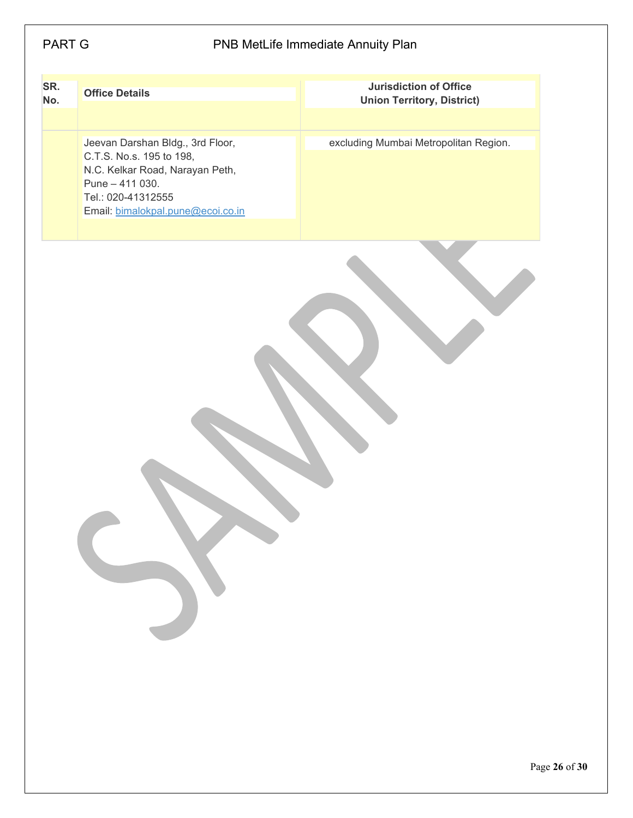| SR.<br>No. | <b>Office Details</b>                                                                                                                                                          | Jurisdiction of Office<br>Union Territory, District) |
|------------|--------------------------------------------------------------------------------------------------------------------------------------------------------------------------------|------------------------------------------------------|
|            | Jeevan Darshan Bldg., 3rd Floor,<br>C.T.S. No.s. 195 to 198,<br>N.C. Kelkar Road, Narayan Peth,<br>Pune $-411$ 030.<br>Tel.: 020-41312555<br>Email: bimalokpal.pune@ecoi.co.in | excluding Mumbai Metropolitan Region.                |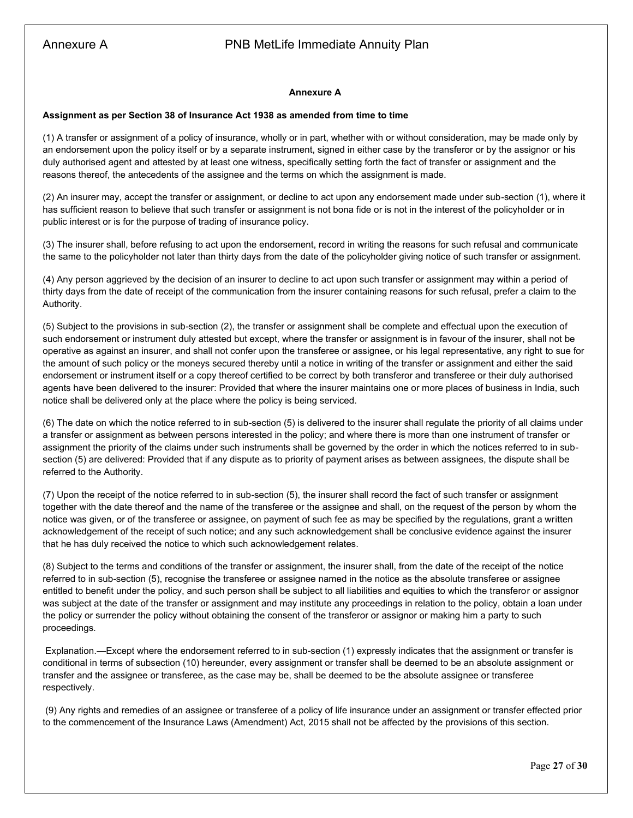#### **Annexure A**

#### **Assignment as per Section 38 of Insurance Act 1938 as amended from time to time**

(1) A transfer or assignment of a policy of insurance, wholly or in part, whether with or without consideration, may be made only by an endorsement upon the policy itself or by a separate instrument, signed in either case by the transferor or by the assignor or his duly authorised agent and attested by at least one witness, specifically setting forth the fact of transfer or assignment and the reasons thereof, the antecedents of the assignee and the terms on which the assignment is made.

(2) An insurer may, accept the transfer or assignment, or decline to act upon any endorsement made under sub-section (1), where it has sufficient reason to believe that such transfer or assignment is not bona fide or is not in the interest of the policyholder or in public interest or is for the purpose of trading of insurance policy.

(3) The insurer shall, before refusing to act upon the endorsement, record in writing the reasons for such refusal and communicate the same to the policyholder not later than thirty days from the date of the policyholder giving notice of such transfer or assignment.

(4) Any person aggrieved by the decision of an insurer to decline to act upon such transfer or assignment may within a period of thirty days from the date of receipt of the communication from the insurer containing reasons for such refusal, prefer a claim to the Authority.

(5) Subject to the provisions in sub-section (2), the transfer or assignment shall be complete and effectual upon the execution of such endorsement or instrument duly attested but except, where the transfer or assignment is in favour of the insurer, shall not be operative as against an insurer, and shall not confer upon the transferee or assignee, or his legal representative, any right to sue for the amount of such policy or the moneys secured thereby until a notice in writing of the transfer or assignment and either the said endorsement or instrument itself or a copy thereof certified to be correct by both transferor and transferee or their duly authorised agents have been delivered to the insurer: Provided that where the insurer maintains one or more places of business in India, such notice shall be delivered only at the place where the policy is being serviced.

(6) The date on which the notice referred to in sub-section (5) is delivered to the insurer shall regulate the priority of all claims under a transfer or assignment as between persons interested in the policy; and where there is more than one instrument of transfer or assignment the priority of the claims under such instruments shall be governed by the order in which the notices referred to in subsection (5) are delivered: Provided that if any dispute as to priority of payment arises as between assignees, the dispute shall be referred to the Authority.

(7) Upon the receipt of the notice referred to in sub-section (5), the insurer shall record the fact of such transfer or assignment together with the date thereof and the name of the transferee or the assignee and shall, on the request of the person by whom the notice was given, or of the transferee or assignee, on payment of such fee as may be specified by the regulations, grant a written acknowledgement of the receipt of such notice; and any such acknowledgement shall be conclusive evidence against the insurer that he has duly received the notice to which such acknowledgement relates.

(8) Subject to the terms and conditions of the transfer or assignment, the insurer shall, from the date of the receipt of the notice referred to in sub-section (5), recognise the transferee or assignee named in the notice as the absolute transferee or assignee entitled to benefit under the policy, and such person shall be subject to all liabilities and equities to which the transferor or assignor was subject at the date of the transfer or assignment and may institute any proceedings in relation to the policy, obtain a loan under the policy or surrender the policy without obtaining the consent of the transferor or assignor or making him a party to such proceedings.

Explanation.—Except where the endorsement referred to in sub-section (1) expressly indicates that the assignment or transfer is conditional in terms of subsection (10) hereunder, every assignment or transfer shall be deemed to be an absolute assignment or transfer and the assignee or transferee, as the case may be, shall be deemed to be the absolute assignee or transferee respectively.

(9) Any rights and remedies of an assignee or transferee of a policy of life insurance under an assignment or transfer effected prior to the commencement of the Insurance Laws (Amendment) Act, 2015 shall not be affected by the provisions of this section.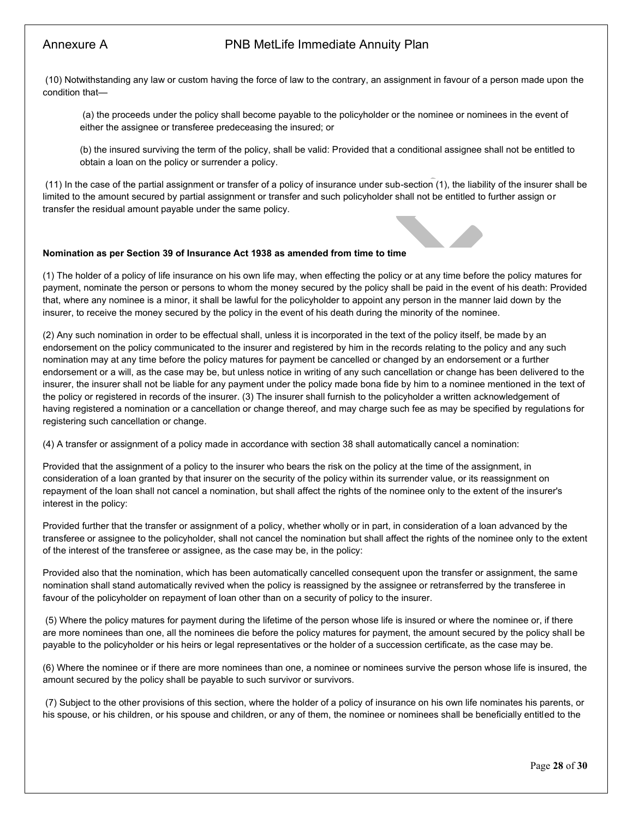(10) Notwithstanding any law or custom having the force of law to the contrary, an assignment in favour of a person made upon the condition that—

(a) the proceeds under the policy shall become payable to the policyholder or the nominee or nominees in the event of either the assignee or transferee predeceasing the insured; or

(b) the insured surviving the term of the policy, shall be valid: Provided that a conditional assignee shall not be entitled to obtain a loan on the policy or surrender a policy.

(11) In the case of the partial assignment or transfer of a policy of insurance under sub-section (1), the liability of the insurer shall be limited to the amount secured by partial assignment or transfer and such policyholder shall not be entitled to further assign or transfer the residual amount payable under the same policy.

#### **Nomination as per Section 39 of Insurance Act 1938 as amended from time to time**

(1) The holder of a policy of life insurance on his own life may, when effecting the policy or at any time before the policy matures for payment, nominate the person or persons to whom the money secured by the policy shall be paid in the event of his death: Provided that, where any nominee is a minor, it shall be lawful for the policyholder to appoint any person in the manner laid down by the insurer, to receive the money secured by the policy in the event of his death during the minority of the nominee.

(2) Any such nomination in order to be effectual shall, unless it is incorporated in the text of the policy itself, be made by an endorsement on the policy communicated to the insurer and registered by him in the records relating to the policy and any such nomination may at any time before the policy matures for payment be cancelled or changed by an endorsement or a further endorsement or a will, as the case may be, but unless notice in writing of any such cancellation or change has been delivered to the insurer, the insurer shall not be liable for any payment under the policy made bona fide by him to a nominee mentioned in the text of the policy or registered in records of the insurer. (3) The insurer shall furnish to the policyholder a written acknowledgement of having registered a nomination or a cancellation or change thereof, and may charge such fee as may be specified by regulations for registering such cancellation or change.

(4) A transfer or assignment of a policy made in accordance with section 38 shall automatically cancel a nomination:

Provided that the assignment of a policy to the insurer who bears the risk on the policy at the time of the assignment, in consideration of a loan granted by that insurer on the security of the policy within its surrender value, or its reassignment on repayment of the loan shall not cancel a nomination, but shall affect the rights of the nominee only to the extent of the insurer's interest in the policy:

Provided further that the transfer or assignment of a policy, whether wholly or in part, in consideration of a loan advanced by the transferee or assignee to the policyholder, shall not cancel the nomination but shall affect the rights of the nominee only to the extent of the interest of the transferee or assignee, as the case may be, in the policy:

Provided also that the nomination, which has been automatically cancelled consequent upon the transfer or assignment, the same nomination shall stand automatically revived when the policy is reassigned by the assignee or retransferred by the transferee in favour of the policyholder on repayment of loan other than on a security of policy to the insurer.

(5) Where the policy matures for payment during the lifetime of the person whose life is insured or where the nominee or, if there are more nominees than one, all the nominees die before the policy matures for payment, the amount secured by the policy shall be payable to the policyholder or his heirs or legal representatives or the holder of a succession certificate, as the case may be.

(6) Where the nominee or if there are more nominees than one, a nominee or nominees survive the person whose life is insured, the amount secured by the policy shall be payable to such survivor or survivors.

(7) Subject to the other provisions of this section, where the holder of a policy of insurance on his own life nominates his parents, or his spouse, or his children, or his spouse and children, or any of them, the nominee or nominees shall be beneficially entitled to the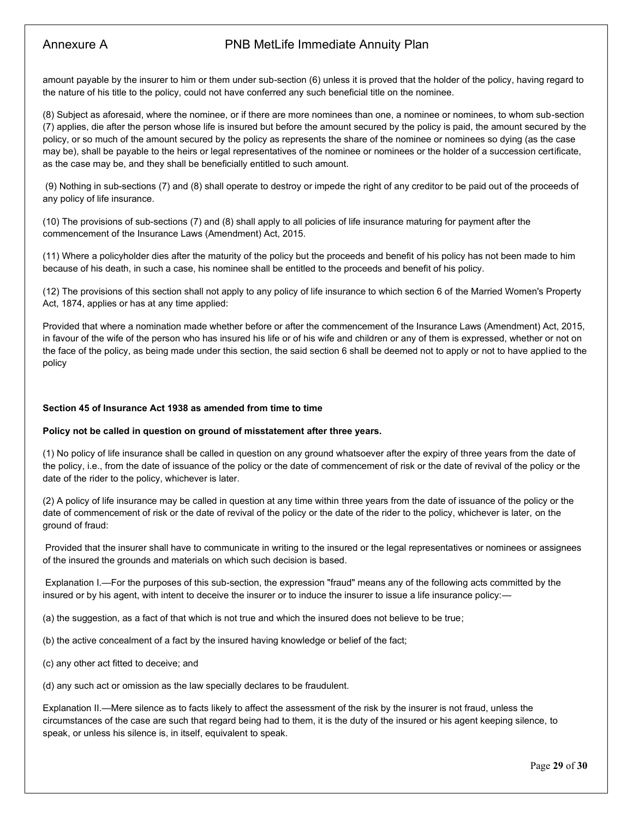amount payable by the insurer to him or them under sub-section (6) unless it is proved that the holder of the policy, having regard to the nature of his title to the policy, could not have conferred any such beneficial title on the nominee.

(8) Subject as aforesaid, where the nominee, or if there are more nominees than one, a nominee or nominees, to whom sub-section (7) applies, die after the person whose life is insured but before the amount secured by the policy is paid, the amount secured by the policy, or so much of the amount secured by the policy as represents the share of the nominee or nominees so dying (as the case may be), shall be payable to the heirs or legal representatives of the nominee or nominees or the holder of a succession certificate, as the case may be, and they shall be beneficially entitled to such amount.

(9) Nothing in sub-sections (7) and (8) shall operate to destroy or impede the right of any creditor to be paid out of the proceeds of any policy of life insurance.

(10) The provisions of sub-sections (7) and (8) shall apply to all policies of life insurance maturing for payment after the commencement of the Insurance Laws (Amendment) Act, 2015.

(11) Where a policyholder dies after the maturity of the policy but the proceeds and benefit of his policy has not been made to him because of his death, in such a case, his nominee shall be entitled to the proceeds and benefit of his policy.

(12) The provisions of this section shall not apply to any policy of life insurance to which section 6 of the Married Women's Property Act, 1874, applies or has at any time applied:

Provided that where a nomination made whether before or after the commencement of the Insurance Laws (Amendment) Act, 2015, in favour of the wife of the person who has insured his life or of his wife and children or any of them is expressed, whether or not on the face of the policy, as being made under this section, the said section 6 shall be deemed not to apply or not to have applied to the policy

#### **Section 45 of Insurance Act 1938 as amended from time to time**

#### **Policy not be called in question on ground of misstatement after three years.**

(1) No policy of life insurance shall be called in question on any ground whatsoever after the expiry of three years from the date of the policy, i.e., from the date of issuance of the policy or the date of commencement of risk or the date of revival of the policy or the date of the rider to the policy, whichever is later.

(2) A policy of life insurance may be called in question at any time within three years from the date of issuance of the policy or the date of commencement of risk or the date of revival of the policy or the date of the rider to the policy, whichever is later, on the ground of fraud:

Provided that the insurer shall have to communicate in writing to the insured or the legal representatives or nominees or assignees of the insured the grounds and materials on which such decision is based.

Explanation I.—For the purposes of this sub-section, the expression "fraud" means any of the following acts committed by the insured or by his agent, with intent to deceive the insurer or to induce the insurer to issue a life insurance policy:—

(a) the suggestion, as a fact of that which is not true and which the insured does not believe to be true;

(b) the active concealment of a fact by the insured having knowledge or belief of the fact;

(c) any other act fitted to deceive; and

(d) any such act or omission as the law specially declares to be fraudulent.

Explanation II.—Mere silence as to facts likely to affect the assessment of the risk by the insurer is not fraud, unless the circumstances of the case are such that regard being had to them, it is the duty of the insured or his agent keeping silence, to speak, or unless his silence is, in itself, equivalent to speak.